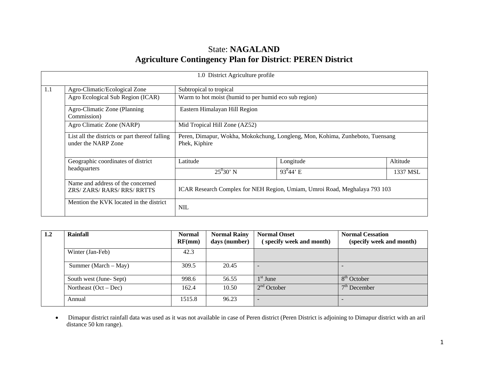# State: **NAGALAND Agriculture Contingency Plan for District**: **PEREN District**

|     |                                                                       | 1.0 District Agriculture profile                                                               |              |          |  |  |  |  |  |
|-----|-----------------------------------------------------------------------|------------------------------------------------------------------------------------------------|--------------|----------|--|--|--|--|--|
| 1.1 | Agro-Climatic/Ecological Zone                                         | Subtropical to tropical                                                                        |              |          |  |  |  |  |  |
|     | Agro Ecological Sub Region (ICAR)                                     | Warm to hot moist (humid to per humid eco sub region)                                          |              |          |  |  |  |  |  |
|     | Agro-Climatic Zone (Planning<br>Commission)                           | Eastern Himalayan Hill Region                                                                  |              |          |  |  |  |  |  |
|     | Agro Climatic Zone (NARP)                                             | Mid Tropical Hill Zone (AZ52)                                                                  |              |          |  |  |  |  |  |
|     | List all the districts or part thereof falling<br>under the NARP Zone | Peren, Dimapur, Wokha, Mokokchung, Longleng, Mon, Kohima, Zunheboto, Tuensang<br>Phek, Kiphire |              |          |  |  |  |  |  |
|     | Geographic coordinates of district                                    | Latitude                                                                                       | Longitude    | Altitude |  |  |  |  |  |
|     | headquarters                                                          | $25^{0}30'$ N                                                                                  | $93^{0}44$ E | 1337 MSL |  |  |  |  |  |
|     | Name and address of the concerned<br>ZRS/ZARS/RARS/RRS/RRTTS          | ICAR Research Complex for NEH Region, Umiam, Umroi Road, Meghalaya 793 103                     |              |          |  |  |  |  |  |
|     | Mention the KVK located in the district                               | <b>NIL</b>                                                                                     |              |          |  |  |  |  |  |

| 1.2 | Rainfall                | <b>Normal</b><br>RF(mm) | <b>Normal Rainy</b><br>days (number) | <b>Normal Onset</b><br>(specify week and month) | <b>Normal Cessation</b><br>(specify week and month) |  |
|-----|-------------------------|-------------------------|--------------------------------------|-------------------------------------------------|-----------------------------------------------------|--|
|     | Winter (Jan-Feb)        | 42.3                    |                                      |                                                 |                                                     |  |
|     | Summer (March $-$ May)  | 309.5                   | 20.45                                |                                                 |                                                     |  |
|     | South west (June-Sept)  | 998.6                   | 56.55                                | $1st$ June                                      | $8th$ October                                       |  |
|     | Northeast $(Oct - Dec)$ | 162.4                   | 10.50                                | $2nd$ October                                   | $7th$ December                                      |  |
|     | Annual                  | 1515.8                  | 96.23                                |                                                 |                                                     |  |

• Dimapur district rainfall data was used as it was not available in case of Peren district (Peren District is adjoining to Dimapur district with an aril distance 50 km range).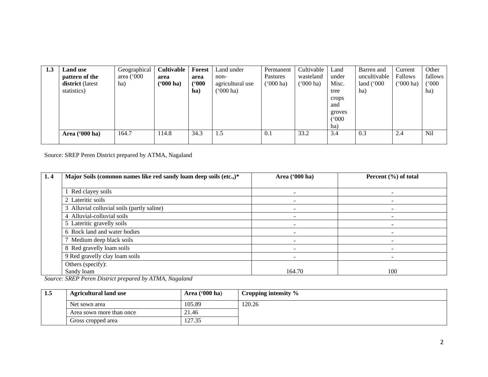| 1.3 | Land use<br>pattern of the<br>district (latest<br>statistics) | Geographical<br>area $(000)$<br>ha) | <b>Cultivable</b><br>area<br>( <b>'000 ha)</b> | Forest<br>area<br>(900)<br>ha) | Land under<br>non-<br>agricultural use<br>$000$ ha) | Permanent<br>Pastures<br>$(000 \text{ ha})$ | Cultivable<br>wasteland<br>('000 ha) | Land<br>under<br>Misc.<br>tree<br>crops<br>and<br>groves<br>(000)<br>ha) | Barren and<br>uncultivable<br>land $(000)$<br>ha) | Current<br><b>Fallows</b><br>$(000)$ ha) | Other<br>fallows<br>(000)<br>ha) |
|-----|---------------------------------------------------------------|-------------------------------------|------------------------------------------------|--------------------------------|-----------------------------------------------------|---------------------------------------------|--------------------------------------|--------------------------------------------------------------------------|---------------------------------------------------|------------------------------------------|----------------------------------|
|     | Area $(900 \text{ ha})$                                       | 164.7                               | 114.8                                          | 34.3                           | 1.5                                                 | 0.1                                         | 33.2                                 | 3.4                                                                      | 0.3                                               | 2.4                                      | <b>Nil</b>                       |

Source: SREP Peren District prepared by ATMA, Nagaland

| 1.4 | Major Soils (common names like red sandy loam deep soils (etc.,)* | Area ('000 ha) | Percent $(\% )$ of total |
|-----|-------------------------------------------------------------------|----------------|--------------------------|
|     |                                                                   |                |                          |
|     | Red clayey soils                                                  |                |                          |
|     | 2 Lateritic soils                                                 |                |                          |
|     | 3 Alluvial colluvial soils (partly saline)                        |                |                          |
|     | 4 Alluvial-colluvial soils                                        |                |                          |
|     | 5 Lateritic gravelly soils                                        |                |                          |
|     | 6 Rock land and water bodies                                      |                |                          |
|     | 7 Medium deep black soils                                         |                |                          |
|     | 8 Red gravelly loam soils                                         | -              | ۰                        |
|     | 9 Red gravelly clay loam soils                                    |                |                          |
|     | Others (specify):                                                 |                |                          |
|     | Sandy loam                                                        | 164.70         | 100                      |

*Source: SREP Peren District prepared by ATMA, Nagaland*

| 1.5 | Area $(900 \text{ ha})$<br><b>Agricultural land use</b> |        | Cropping intensity % |
|-----|---------------------------------------------------------|--------|----------------------|
|     | Net sown area                                           | 105.89 | 120.26               |
|     | Area sown more than once                                | 21.46  |                      |
|     | Gross cropped area                                      | 127.35 |                      |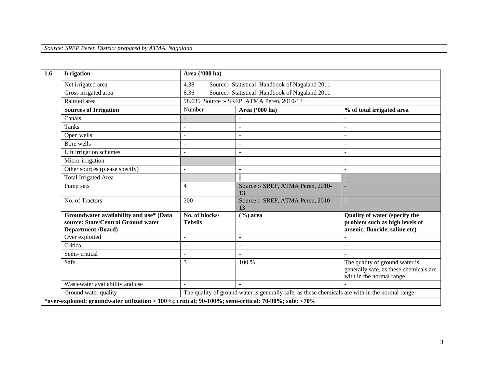*Source: SREP Peren District prepared by ATMA, Nagaland*

| $\overline{1.6}$ | <b>Irrigation</b>                                                                                          | Area ('000 ha)                   |  |                                                                                                |                                                                                                          |
|------------------|------------------------------------------------------------------------------------------------------------|----------------------------------|--|------------------------------------------------------------------------------------------------|----------------------------------------------------------------------------------------------------------|
|                  | Net irrigated area                                                                                         | 4.38                             |  | Source:- Statistical Handbook of Nagaland 2011                                                 |                                                                                                          |
|                  | Gross irrigated area                                                                                       | 6.36                             |  | Source:- Statistical Handbook of Nagaland 2011                                                 |                                                                                                          |
|                  | Rainfed area                                                                                               |                                  |  | 98.635 Source :- SREP, ATMA Peren, 2010-13                                                     |                                                                                                          |
|                  | <b>Sources of Irrigation</b>                                                                               | Number                           |  | Area ('000 ha)                                                                                 | % of total irrigated area                                                                                |
|                  | Canals                                                                                                     |                                  |  |                                                                                                |                                                                                                          |
|                  | <b>Tanks</b>                                                                                               |                                  |  |                                                                                                |                                                                                                          |
|                  | Open wells                                                                                                 |                                  |  |                                                                                                |                                                                                                          |
|                  | Bore wells                                                                                                 |                                  |  |                                                                                                |                                                                                                          |
|                  | Lift irrigation schemes                                                                                    | $\overline{a}$                   |  | $\sim$                                                                                         |                                                                                                          |
|                  | Micro-irrigation                                                                                           |                                  |  | $\overline{a}$                                                                                 |                                                                                                          |
|                  | Other sources (please specify)                                                                             |                                  |  |                                                                                                |                                                                                                          |
|                  | <b>Total Irrigated Area</b>                                                                                | 4                                |  |                                                                                                |                                                                                                          |
|                  | Pump sets                                                                                                  |                                  |  | Source :- SREP, ATMA Peren, 2010-<br>13                                                        |                                                                                                          |
|                  | No. of Tractors                                                                                            | 300                              |  | Source :- SREP, ATMA Peren, 2010-<br>13                                                        |                                                                                                          |
|                  | Groundwater availability and use* (Data<br>source: State/Central Ground water<br><b>Department /Board)</b> | No. of blocks/<br><b>Tehsils</b> |  | $(\% )$ area                                                                                   | <b>Quality of water (specify the</b><br>problem such as high levels of<br>arsenic, fluoride, saline etc) |
|                  | Over exploited                                                                                             |                                  |  | $\sim$                                                                                         |                                                                                                          |
|                  | Critical                                                                                                   |                                  |  | $\sim$                                                                                         |                                                                                                          |
|                  | Semi-critical                                                                                              |                                  |  |                                                                                                |                                                                                                          |
|                  | Safe                                                                                                       | 3                                |  | 100 %                                                                                          | The quality of ground water is<br>generally safe, as these chemicals are<br>with in the normal range     |
|                  | Wastewater availability and use                                                                            |                                  |  | $\sim$                                                                                         |                                                                                                          |
|                  | Ground water quality                                                                                       |                                  |  | The quality of ground water is generally safe, as these chemicals are with in the normal range |                                                                                                          |
|                  | *over-exploited: groundwater utilization > 100%; critical: 90-100%; semi-critical: 70-90%; safe: <70%      |                                  |  |                                                                                                |                                                                                                          |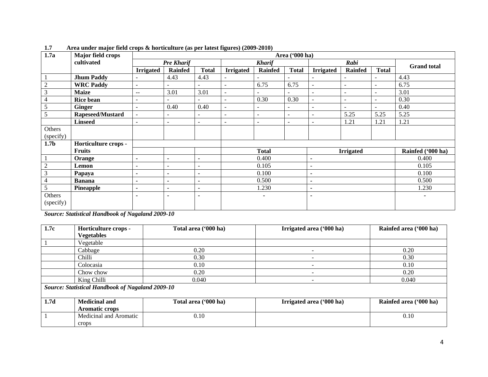| 1.7a             | Major field crops    |                  | Area ('000 ha)           |                |                          |                          |                          |                          |                          |                          |                    |  |
|------------------|----------------------|------------------|--------------------------|----------------|--------------------------|--------------------------|--------------------------|--------------------------|--------------------------|--------------------------|--------------------|--|
|                  | cultivated           |                  | <b>Pre Kharif</b>        |                |                          | <b>Kharif</b>            |                          |                          | Rabi                     |                          | <b>Grand</b> total |  |
|                  |                      | <b>Irrigated</b> | <b>Rainfed</b>           | <b>Total</b>   | <b>Irrigated</b>         | Rainfed                  | <b>Total</b>             | <b>Irrigated</b>         | <b>Rainfed</b>           | <b>Total</b>             |                    |  |
|                  | <b>Jhum Paddy</b>    |                  | 4.43                     | 4.43           |                          |                          |                          |                          |                          |                          | 4.43               |  |
| $\mathbf{2}$     | <b>WRC</b> Paddy     | $\blacksquare$   | $\sim$                   | ۰              | $\blacksquare$           | 6.75                     | 6.75                     | $\blacksquare$           | $\overline{\phantom{a}}$ | $\overline{\phantom{a}}$ | 6.75               |  |
| $\mathfrak{Z}$   | <b>Maize</b>         | $-$              | 3.01                     | 3.01           | $\blacksquare$           | $\overline{\phantom{a}}$ |                          | $\equiv$                 | $\overline{\phantom{a}}$ | $\overline{\phantom{a}}$ | 3.01               |  |
| 4                | <b>Rice bean</b>     | ۰                |                          |                |                          | 0.30                     | 0.30                     | $\overline{\phantom{a}}$ | $\overline{\phantom{a}}$ | $\overline{\phantom{a}}$ | 0.30               |  |
| 5                | <b>Ginger</b>        | $\blacksquare$   | 0.40                     | 0.40           | $\blacksquare$           | $\blacksquare$           | ٠                        |                          | $\overline{\phantom{a}}$ | $\overline{\phantom{a}}$ | 0.40               |  |
| 5                | Rapeseed/Mustard     | $\sim$           | ٠                        | ۰              | $\overline{\phantom{a}}$ | $\overline{\phantom{a}}$ | $\blacksquare$           | $\blacksquare$           | 5.25                     | 5.25                     | 5.25               |  |
|                  | <b>Linseed</b>       |                  | ۰                        | ۰              |                          | $\blacksquare$           | $\overline{\phantom{a}}$ |                          | 1.21                     | 1.21                     | 1.21               |  |
| Others           |                      |                  |                          |                |                          |                          |                          |                          |                          |                          |                    |  |
| (specify)        |                      |                  |                          |                |                          |                          |                          |                          |                          |                          |                    |  |
| 1.7 <sub>b</sub> | Horticulture crops - |                  |                          |                |                          |                          |                          |                          |                          |                          |                    |  |
|                  | <b>Fruits</b>        |                  |                          |                |                          | <b>Total</b>             |                          |                          | <b>Irrigated</b>         |                          | Rainfed ('000 ha)  |  |
|                  | Orange               | $\blacksquare$   | $\blacksquare$           | $\blacksquare$ |                          | 0.400                    |                          | $\blacksquare$           |                          |                          | 0.400              |  |
| $\sqrt{2}$       | Lemon                | ۰                | $\overline{\phantom{a}}$ | -              |                          | 0.105                    |                          | $\overline{\phantom{a}}$ |                          |                          | 0.105              |  |
| $\mathfrak{Z}$   | Papaya               | $\blacksquare$   | $\blacksquare$           | $\blacksquare$ | 0.100                    |                          |                          | $\blacksquare$           |                          |                          | 0.100              |  |
| $\overline{4}$   | <b>Banana</b>        | $\blacksquare$   | $\sim$                   | $\blacksquare$ | 0.500                    |                          |                          | $\blacksquare$           |                          |                          | 0.500              |  |
| 5                | Pineapple            | ٠                | ۰                        | ٠              | 1.230                    |                          |                          | $\overline{\phantom{0}}$ |                          |                          | 1.230              |  |
| Others           |                      |                  | ۰                        | ٠              | ٠                        |                          |                          | $\overline{\phantom{0}}$ |                          |                          |                    |  |
| (specify)        |                      |                  |                          |                |                          |                          |                          |                          |                          |                          |                    |  |

**1.7 Area under major field crops & horticulture (as per latest figures) (2009-2010)** 

*Source: Statistical Handbook of Nagaland 2009-10*

| 1.7c | Horticulture crops -                                    | Total area ('000 ha) | Irrigated area ('000 ha)     | Rainfed area ('000 ha) |
|------|---------------------------------------------------------|----------------------|------------------------------|------------------------|
|      | <b>Vegetables</b>                                       |                      |                              |                        |
|      | Vegetable                                               |                      |                              |                        |
|      | Cabbage                                                 | 0.20                 | $\qquad \qquad \blacksquare$ | 0.20                   |
|      | Chilli                                                  | 0.30                 | $\overline{\phantom{0}}$     | 0.30                   |
|      | Colocasia                                               | 0.10                 | -                            | 0.10                   |
|      | Chow chow                                               | 0.20                 |                              | 0.20                   |
|      | King Chilli                                             | 0.040                | $\qquad \qquad \blacksquare$ | 0.040                  |
|      | <b>Source: Statistical Handbook of Nagaland 2009-10</b> |                      |                              |                        |
|      |                                                         |                      |                              |                        |
| 1.7d | <b>Medicinal and</b>                                    | Total area ('000 ha) | Irrigated area ('000 ha)     | Rainfed area ('000 ha) |
|      | <b>Aromatic crops</b>                                   |                      |                              |                        |
|      | Medicinal and Aromatic                                  | 0.10                 |                              | 0.10                   |
|      | crops                                                   |                      |                              |                        |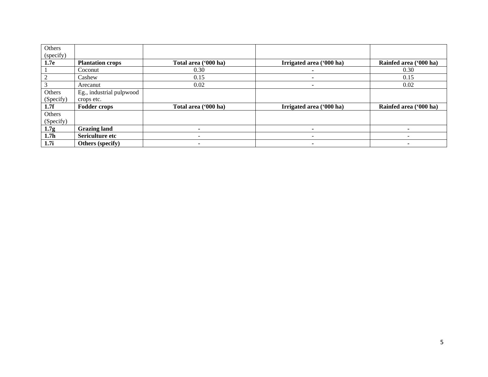| Others<br>(specify) |                          |                      |                          |                        |
|---------------------|--------------------------|----------------------|--------------------------|------------------------|
| 1.7e                | <b>Plantation crops</b>  | Total area ('000 ha) | Irrigated area ('000 ha) | Rainfed area ('000 ha) |
|                     | Coconut                  | 0.30                 |                          | 0.30                   |
| $\gamma$            | Cashew                   | 0.15                 | ۰                        | 0.15                   |
|                     | Arecanut                 | 0.02                 |                          | 0.02                   |
| Others              | Eg., industrial pulpwood |                      |                          |                        |
| (Specify)           | crops etc.               |                      |                          |                        |
| 1.7f                | <b>Fodder crops</b>      | Total area ('000 ha) | Irrigated area ('000 ha) | Rainfed area ('000 ha) |
| Others              |                          |                      |                          |                        |
| (Specify)           |                          |                      |                          |                        |
| 1.7g                | <b>Grazing land</b>      |                      |                          |                        |
| 1.7 <sub>h</sub>    | <b>Sericulture etc</b>   |                      | -                        |                        |
|                     | <b>Others</b> (specify)  |                      |                          |                        |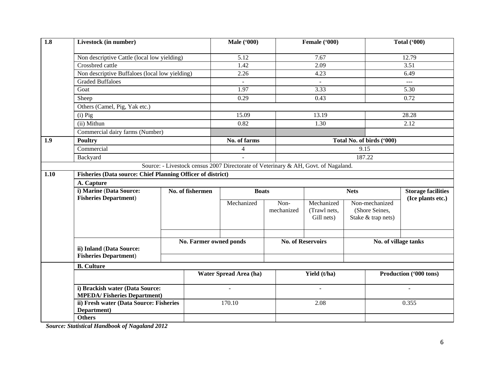| 1.8  | Livestock (in number)                                                 |  | <b>Male</b> ('000)                                                                 |                        | Female ('000) |      |                            | <b>Total ('000)</b> |                           |                           |
|------|-----------------------------------------------------------------------|--|------------------------------------------------------------------------------------|------------------------|---------------|------|----------------------------|---------------------|---------------------------|---------------------------|
|      | Non descriptive Cattle (local low yielding)                           |  |                                                                                    | 5.12                   |               |      | 7.67                       |                     |                           | 12.79                     |
|      | Crossbred cattle                                                      |  |                                                                                    | 1.42                   |               |      | 2.09                       |                     | 3.51                      |                           |
|      | Non descriptive Buffaloes (local low yielding)                        |  |                                                                                    | 2.26                   |               |      | 4.23                       |                     | 6.49                      |                           |
|      | <b>Graded Buffaloes</b>                                               |  |                                                                                    | $\sim$                 |               |      | $\omega$                   |                     |                           | $\sim$ $\sim$             |
|      | Goat                                                                  |  |                                                                                    | 1.97                   |               |      | 3.33                       |                     |                           | 5.30                      |
|      | Sheep                                                                 |  |                                                                                    | 0.29                   |               |      | 0.43                       |                     |                           | 0.72                      |
|      | Others (Camel, Pig, Yak etc.)<br>$(i)$ Pig<br>(ii) Mithun             |  |                                                                                    |                        |               |      |                            |                     |                           |                           |
|      |                                                                       |  |                                                                                    | 15.09                  |               |      | 13.19                      |                     |                           | 28.28                     |
|      |                                                                       |  |                                                                                    | 0.82                   |               |      | 1.30                       |                     |                           | 2.12                      |
|      | Commercial dairy farms (Number)                                       |  |                                                                                    |                        |               |      |                            |                     |                           |                           |
| 1.9  | <b>Poultry</b>                                                        |  |                                                                                    | No. of farms           |               |      |                            |                     | Total No. of birds ('000) |                           |
|      | Commercial                                                            |  |                                                                                    | $\overline{4}$         |               |      |                            | 9.15                |                           |                           |
|      | Backyard                                                              |  |                                                                                    | $\overline{a}$         |               |      |                            |                     | 187.22                    |                           |
|      |                                                                       |  | Source: - Livestock census 2007 Directorate of Veterinary & AH, Govt. of Nagaland. |                        |               |      |                            |                     |                           |                           |
| 1.10 | <b>Fisheries (Data source: Chief Planning Officer of district)</b>    |  |                                                                                    |                        |               |      |                            |                     |                           |                           |
|      | A. Capture                                                            |  |                                                                                    |                        |               |      |                            |                     |                           |                           |
|      | i) Marine (Data Source:                                               |  | No. of fishermen                                                                   | <b>Boats</b>           |               |      |                            | <b>Nets</b>         |                           | <b>Storage facilities</b> |
|      | <b>Fisheries Department)</b>                                          |  |                                                                                    | Mechanized             |               | Non- |                            | Non-mechanized      |                           | (Ice plants etc.)         |
|      |                                                                       |  |                                                                                    |                        | mechanized    |      | Mechanized<br>(Trawl nets, |                     | (Shore Seines,            |                           |
|      |                                                                       |  |                                                                                    |                        |               |      | Gill nets)                 |                     | Stake & trap nets)        |                           |
|      |                                                                       |  |                                                                                    |                        |               |      |                            |                     |                           |                           |
|      |                                                                       |  |                                                                                    |                        |               |      |                            |                     |                           |                           |
|      |                                                                       |  | No. Farmer owned ponds                                                             |                        |               |      | <b>No. of Reservoirs</b>   |                     | No. of village tanks      |                           |
|      | ii) Inland (Data Source:                                              |  |                                                                                    |                        |               |      |                            |                     |                           |                           |
|      | <b>Fisheries Department)</b>                                          |  |                                                                                    |                        |               |      |                            |                     |                           |                           |
|      | <b>B.</b> Culture                                                     |  |                                                                                    |                        |               |      |                            |                     |                           |                           |
|      |                                                                       |  |                                                                                    | Water Spread Area (ha) |               |      | Yield (t/ha)               |                     |                           | Production ('000 tons)    |
|      | i) Brackish water (Data Source:<br><b>MPEDA/Fisheries Department)</b> |  |                                                                                    |                        |               |      |                            |                     |                           |                           |
|      | ii) Fresh water (Data Source: Fisheries<br>Department)                |  |                                                                                    | 170.10                 |               | 2.08 |                            |                     | 0.355                     |                           |
|      | <b>Others</b>                                                         |  |                                                                                    |                        |               |      |                            |                     |                           |                           |
|      |                                                                       |  |                                                                                    |                        |               |      |                            |                     |                           |                           |

*Source: Statistical Handbook of Nagaland 2012*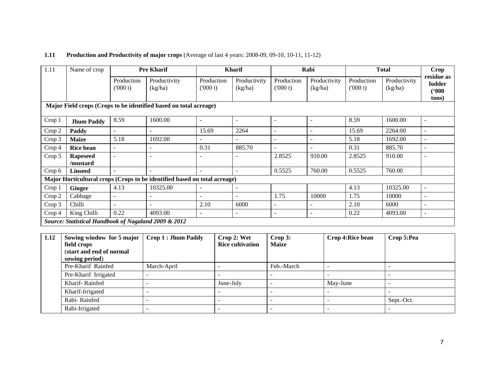# **1.11 Production and Productivity of major crops** (Average of last 4 years: 2008-09, 09-10, 10-11, 11-12)

| 1.11   | Name of crop                                                      |                       | <b>Pre Kharif</b>                                                         |                       | <b>Kharif</b>            |                          | Rabi                     |                       | <b>Total</b>            | Crop                                   |  |  |
|--------|-------------------------------------------------------------------|-----------------------|---------------------------------------------------------------------------|-----------------------|--------------------------|--------------------------|--------------------------|-----------------------|-------------------------|----------------------------------------|--|--|
|        |                                                                   | Production<br>(000 t) | Productivity<br>(kg/ha)                                                   | Production<br>(000 t) | Productivity<br>(kg/ha)  | Production<br>(000 t)    | Productivity<br>(kg/ha)  | Production<br>(000 t) | Productivity<br>(kg/ha) | residue as<br>fodder<br>(900)<br>tons) |  |  |
|        | Major Field crops (Crops to be identified based on total acreage) |                       |                                                                           |                       |                          |                          |                          |                       |                         |                                        |  |  |
| Crop 1 | <b>Jhum Paddy</b>                                                 | 8.59                  | 1600.00                                                                   |                       |                          | $\qquad \qquad -$        | $\overline{\phantom{a}}$ | 8.59                  | 1600.00                 | ٠                                      |  |  |
| Crop 2 | Paddy                                                             | $\blacksquare$        |                                                                           | 15.69                 | 2264                     | ÷.                       | $\overline{\phantom{a}}$ | 15.69                 | 2264.00                 | $\overline{\phantom{a}}$               |  |  |
| Crop 3 | <b>Maize</b>                                                      | 5.18                  | 1692.00                                                                   |                       |                          | $\overline{\phantom{a}}$ | $\blacksquare$           | 5.18                  | 1692.00                 | $\overline{\phantom{a}}$               |  |  |
| Crop 4 | <b>Rice bean</b>                                                  |                       |                                                                           | 0.31                  | 885.70                   | $\blacksquare$           |                          | 0.31                  | 885.70                  |                                        |  |  |
| Crop 5 | <b>Rapeseed</b><br>/mustard                                       | $\overline{a}$        |                                                                           |                       |                          | 2.8525                   | 910.00                   | 2.8525                | 910.00                  |                                        |  |  |
| Crop 6 | <b>Linseed</b>                                                    | $\blacksquare$        | $\overline{\phantom{a}}$                                                  | $\sim$                | $\overline{\phantom{a}}$ | 0.5525                   | 760.00                   | 0.5525                | 760.00                  |                                        |  |  |
|        |                                                                   |                       | Major Horticultural crops (Crops to be identified based on total acreage) |                       |                          |                          |                          |                       |                         |                                        |  |  |
| Crop 1 | <b>Ginger</b>                                                     | 4.13                  | 10325.00                                                                  |                       |                          |                          |                          | 4.13                  | 10325.00                | $\overline{\phantom{a}}$               |  |  |
| Crop 2 | Cabbage                                                           | $\sim$                |                                                                           |                       |                          | 1.75                     | 10000                    | 1.75                  | 10000                   |                                        |  |  |
| Crop 3 | Chilli                                                            |                       |                                                                           | 2.10                  | 6000                     | $\blacksquare$           |                          | 2.10                  | 6000                    | $\blacksquare$                         |  |  |
| Crop 4 | King Chilli                                                       | 0.22                  | 4093.00                                                                   | Ξ.                    | $\overline{\phantom{a}}$ | ٠                        | $\overline{\phantom{a}}$ | 0.22                  | 4093.00                 | ٠                                      |  |  |
|        | Source: Statistical Handbook of Nagaland 2009 & 2012              |                       |                                                                           |                       |                          |                          |                          |                       |                         |                                        |  |  |

| 1.12 | Sowing window for 5 major<br>field crops<br>(start and end of normal<br>sowing period) | Crop 1 : Jhum Paddy | Crop 2: Wet<br><b>Rice cultivation</b> | Crop 3:<br><b>Maize</b> | Crop 4: Rice bean | Crop 5:Pea |
|------|----------------------------------------------------------------------------------------|---------------------|----------------------------------------|-------------------------|-------------------|------------|
|      | Pre-Kharif Rainfed                                                                     | March-April         |                                        | Feb.-March              |                   |            |
|      | Pre-Kharif Irrigated                                                                   |                     |                                        |                         |                   |            |
|      | Kharif-Rainfed                                                                         |                     | June-July                              |                         | May-June          |            |
|      | Kharif-Irrigated                                                                       |                     |                                        |                         |                   |            |
|      | Rabi-Rainfed                                                                           |                     |                                        |                         |                   | Sept.-Oct. |
|      | Rabi-Irrigated                                                                         |                     |                                        |                         |                   |            |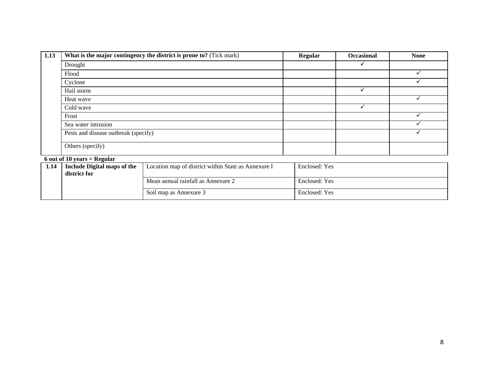| 1.13 | What is the major contingency the district is prone to? (Tick mark) | Regular | <b>Occasional</b> | <b>None</b> |  |  |  |  |  |
|------|---------------------------------------------------------------------|---------|-------------------|-------------|--|--|--|--|--|
|      | Drought                                                             |         |                   |             |  |  |  |  |  |
|      | Flood                                                               |         |                   |             |  |  |  |  |  |
|      | Cyclone                                                             |         |                   |             |  |  |  |  |  |
|      | Hail storm                                                          |         |                   |             |  |  |  |  |  |
|      | Heat wave                                                           |         |                   |             |  |  |  |  |  |
|      | Cold wave                                                           |         |                   |             |  |  |  |  |  |
|      | Frost                                                               |         |                   |             |  |  |  |  |  |
|      | Sea water intrusion                                                 |         |                   |             |  |  |  |  |  |
|      | Pests and disease outbreak (specify)                                |         |                   |             |  |  |  |  |  |
|      | Others (specify)                                                    |         |                   |             |  |  |  |  |  |
|      | $6$ out of 10 years = Regular                                       |         |                   |             |  |  |  |  |  |

| 1.14 | Include Digital maps of the<br>district for | Location map of district within State as Annexure I | Enclosed: Yes |
|------|---------------------------------------------|-----------------------------------------------------|---------------|
|      |                                             | Mean annual rainfall as Annexure 2                  | Enclosed: Yes |
|      |                                             | Soil map as Annexure 3                              | Enclosed: Yes |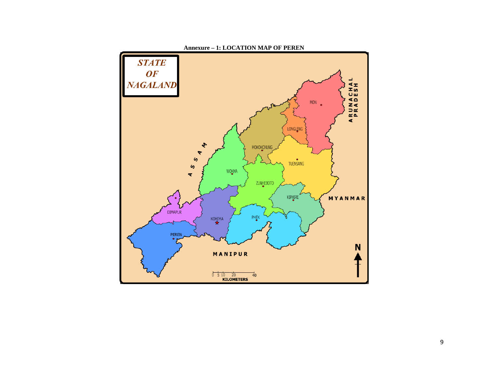

**Annexure – 1: LOCATION MAP OF PEREN**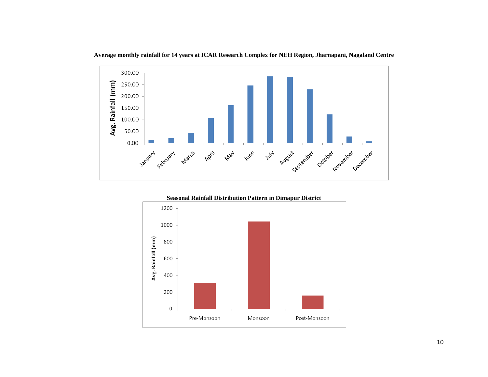

**Average monthly rainfall for 14 years at ICAR Research Complex for NEH Region, Jharnapani, Nagaland Centre**

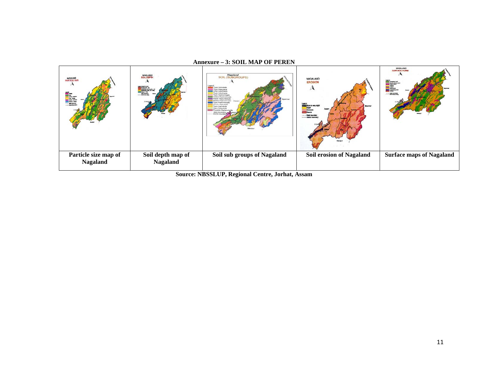#### **Annexure – 3: SOIL MAP OF PEREN**

| NASALAND<br>PARTICLE SIZE<br><b>Fire-last</b><br>--- man bunding | <b>MALANO</b><br>SOIL DEPTH<br>and Mathbard<br><mark>Sa Shakara di - An</mark><br>Mathama di - An<br>Mathama di - A<br>side barden | Negaland<br>SOIL (SUBGROUPS)<br>n Nationalis<br>voin Palescota i<br>yper. Univertiments<br>Typic Dystrochness<br><b>Rechic Happiumbraute</b><br>rend. History conductions<br>Humba Hamburkatta<br><b>Tuoris Hagisadulla</b><br><b>Tuese Palmatuk</b><br><b>Exceptive Member</b><br>state boundary | NAGALAND<br><b>EROSION</b><br>Myanmer<br><b>Severa</b> | <b>NAGALAND</b><br><b>SURFACE FORM</b><br><b>Control expire level</b><br>And the second level |
|------------------------------------------------------------------|------------------------------------------------------------------------------------------------------------------------------------|---------------------------------------------------------------------------------------------------------------------------------------------------------------------------------------------------------------------------------------------------------------------------------------------------|--------------------------------------------------------|-----------------------------------------------------------------------------------------------|
| Particle size map of<br><b>Nagaland</b>                          | Soil depth map of<br><b>Nagaland</b>                                                                                               | Soil sub groups of Nagaland                                                                                                                                                                                                                                                                       | <b>Soil erosion of Nagaland</b>                        | <b>Surface maps of Nagaland</b>                                                               |

**Source: NBSSLUP, Regional Centre, Jorhat, Assam**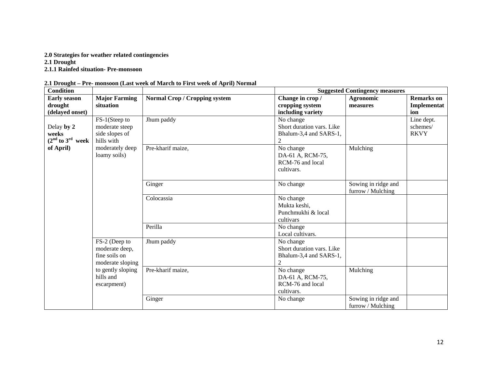## **2.0 Strategies for weather related contingencies**

**2.1 Drought** 

**2.1.1 Rainfed situation- Pre-monsoon** 

| 2.1 Drought - Pre- monsoon (Last week of March to First week of April) Normal |  |  |  |  |  |  |  |
|-------------------------------------------------------------------------------|--|--|--|--|--|--|--|
|                                                                               |  |  |  |  |  |  |  |

| <b>Condition</b>     |                      |                                      |                           | <b>Suggested Contingency measures</b>    |                   |
|----------------------|----------------------|--------------------------------------|---------------------------|------------------------------------------|-------------------|
| <b>Early season</b>  | <b>Major Farming</b> | <b>Normal Crop / Cropping system</b> | Change in crop /          | Agronomic                                | <b>Remarks</b> on |
| drought              | situation            |                                      | cropping system           | measures                                 | Implementat       |
| (delayed onset)      |                      |                                      | including variety         |                                          | ion               |
|                      | FS-1(Steep to        | Jhum paddy                           | No change                 |                                          | Line dept.        |
| Delay by 2           | moderate steep       |                                      | Short duration vars. Like |                                          | schemes/          |
| weeks                | side slopes of       |                                      | Bhalum-3,4 and SARS-1,    |                                          | <b>RKVY</b>       |
| $(2nd$ to $3rd$ week | hills with           |                                      | $\overline{c}$            |                                          |                   |
| of April)            | moderately deep      | Pre-kharif maize,                    | No change                 | Mulching                                 |                   |
|                      | loamy soils)         |                                      | DA-61 A, RCM-75,          |                                          |                   |
|                      |                      |                                      | RCM-76 and local          |                                          |                   |
|                      |                      |                                      | cultivars.                |                                          |                   |
|                      |                      |                                      |                           |                                          |                   |
|                      |                      | Ginger                               | No change                 | Sowing in ridge and<br>furrow / Mulching |                   |
|                      |                      | Colocassia                           | No change                 |                                          |                   |
|                      |                      |                                      | Mukta keshi,              |                                          |                   |
|                      |                      |                                      | Punchmukhi & local        |                                          |                   |
|                      |                      |                                      | cultivars                 |                                          |                   |
|                      |                      | Perilla                              | No change                 |                                          |                   |
|                      |                      |                                      | Local cultivars.          |                                          |                   |
|                      | FS-2 (Deep to        | Jhum paddy                           | No change                 |                                          |                   |
|                      | moderate deep,       |                                      | Short duration vars. Like |                                          |                   |
|                      | fine soils on        |                                      | Bhalum-3,4 and SARS-1,    |                                          |                   |
|                      | moderate sloping     |                                      | $\overline{2}$            |                                          |                   |
|                      | to gently sloping    | Pre-kharif maize,                    | No change                 | Mulching                                 |                   |
|                      | hills and            |                                      | DA-61 A, RCM-75,          |                                          |                   |
|                      | escarpment)          |                                      | RCM-76 and local          |                                          |                   |
|                      |                      |                                      | cultivars.                |                                          |                   |
|                      |                      | Ginger                               | No change                 | Sowing in ridge and                      |                   |
|                      |                      |                                      |                           | furrow / Mulching                        |                   |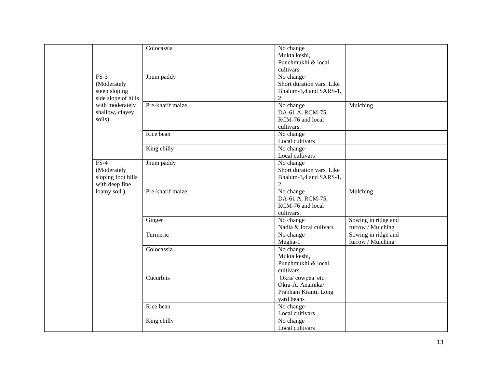|                     | Colocassia        | No change                 |                     |  |
|---------------------|-------------------|---------------------------|---------------------|--|
|                     |                   | Mukta keshi,              |                     |  |
|                     |                   | Punchmukhi & local        |                     |  |
|                     |                   | cultivars                 |                     |  |
| $FS-3$              | Jhum paddy        | No change                 |                     |  |
| (Moderately         |                   | Short duration vars. Like |                     |  |
| steep sloping       |                   | Bhalum-3,4 and SARS-1,    |                     |  |
| side slope of hills |                   | $\overline{2}$            |                     |  |
| with moderately     | Pre-kharif maize, | No change                 | Mulching            |  |
| shallow, clayey     |                   | DA-61 A, RCM-75,          |                     |  |
| soils)              |                   | RCM-76 and local          |                     |  |
|                     |                   | cultivars.                |                     |  |
|                     | Rice bean         | No change                 |                     |  |
|                     |                   | Local cultivars           |                     |  |
|                     | King chilly       | No change                 |                     |  |
|                     |                   | Local cultivars           |                     |  |
| $FS-4$              | Jhum paddy        | No change                 |                     |  |
| (Moderately         |                   | Short duration vars. Like |                     |  |
| sloping foot hills  |                   | Bhalum-3,4 and SARS-1,    |                     |  |
| with deep fine      |                   | $\overline{2}$            |                     |  |
| loamy soil)         | Pre-kharif maize, | No change                 | Mulching            |  |
|                     |                   | DA-61 A, RCM-75,          |                     |  |
|                     |                   | RCM-76 and local          |                     |  |
|                     |                   | cultivars.                |                     |  |
|                     | Ginger            | No change                 | Sowing in ridge and |  |
|                     |                   | Nadia & local culivars    | furrow / Mulching   |  |
|                     | Turmeric          | No change                 | Sowing in ridge and |  |
|                     |                   | Megha-1                   | furrow / Mulching   |  |
|                     | Colocassia        | No change                 |                     |  |
|                     |                   | Mukta keshi,              |                     |  |
|                     |                   | Punchmukhi & local        |                     |  |
|                     |                   | cultivars                 |                     |  |
|                     | Cucurbits         | Okra/cowpea etc.          |                     |  |
|                     |                   | Okra-A. Anamika/          |                     |  |
|                     |                   | Prabhani Kranti, Long     |                     |  |
|                     |                   | yard beans                |                     |  |
|                     | Rice bean         | No change                 |                     |  |
|                     |                   | Local cultivars           |                     |  |
|                     | King chilly       | No change                 |                     |  |
|                     |                   | Local cultivars           |                     |  |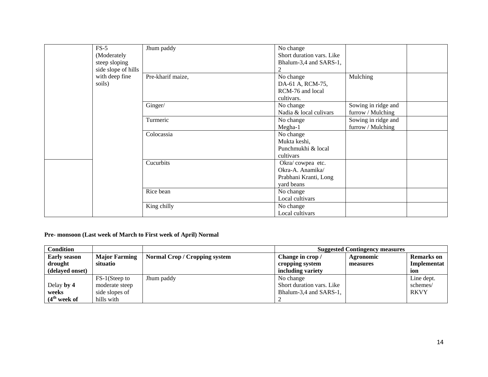| $FS-5$              | Jhum paddy        | No change                 |                     |  |
|---------------------|-------------------|---------------------------|---------------------|--|
| (Moderately         |                   | Short duration vars. Like |                     |  |
| steep sloping       |                   | Bhalum-3,4 and SARS-1,    |                     |  |
| side slope of hills |                   |                           |                     |  |
| with deep fine      | Pre-kharif maize, | No change                 | Mulching            |  |
| soils)              |                   | DA-61 A, RCM-75,          |                     |  |
|                     |                   | RCM-76 and local          |                     |  |
|                     |                   | cultivars.                |                     |  |
|                     | Ginger/           | No change                 | Sowing in ridge and |  |
|                     |                   | Nadia & local culivars    | furrow / Mulching   |  |
|                     | Turmeric          | No change                 | Sowing in ridge and |  |
|                     |                   | Megha-1                   | furrow / Mulching   |  |
|                     | Colocassia        | No change                 |                     |  |
|                     |                   | Mukta keshi,              |                     |  |
|                     |                   | Punchmukhi & local        |                     |  |
|                     |                   | cultivars                 |                     |  |
|                     | Cucurbits         | Okra/cowpea etc.          |                     |  |
|                     |                   | Okra-A. Anamika/          |                     |  |
|                     |                   | Prabhani Kranti, Long     |                     |  |
|                     |                   | yard beans                |                     |  |
|                     | Rice bean         | No change                 |                     |  |
|                     |                   | Local cultivars           |                     |  |
|                     | King chilly       | No change                 |                     |  |
|                     |                   | Local cultivars           |                     |  |

## **Pre- monsoon (Last week of March to First week of April) Normal**

| <b>Condition</b>         |                      |                                      |                           | <b>Suggested Contingency measures</b> |                   |
|--------------------------|----------------------|--------------------------------------|---------------------------|---------------------------------------|-------------------|
| <b>Early season</b>      | <b>Major Farming</b> | <b>Normal Crop / Cropping system</b> | Change in crop /          | Agronomic                             | <b>Remarks</b> on |
| drought                  | situatio             |                                      | cropping system           | measures                              | Implementat       |
| (delayed onset)          |                      |                                      | including variety         |                                       | ion               |
|                          | FS-1(Steep to        | Jhum paddy                           | No change                 |                                       | Line dept.        |
| Delay by 4               | moderate steep       |                                      | Short duration vars. Like |                                       | schemes/          |
| weeks                    | side slopes of       |                                      | Bhalum-3,4 and SARS-1,    |                                       | <b>RKVY</b>       |
| (4 <sup>th</sup> week of | hills with           |                                      |                           |                                       |                   |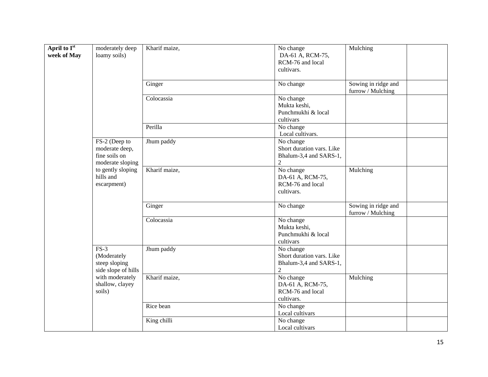| April to I <sup>st</sup><br>week of May | moderately deep<br>loamy soils)                                      | Kharif maize, | No change<br>DA-61 A, RCM-75,<br>RCM-76 and local<br>cultivars.                    | Mulching                                 |
|-----------------------------------------|----------------------------------------------------------------------|---------------|------------------------------------------------------------------------------------|------------------------------------------|
|                                         |                                                                      | Ginger        | No change                                                                          | Sowing in ridge and<br>furrow / Mulching |
|                                         |                                                                      | Colocassia    | No change<br>Mukta keshi,<br>Punchmukhi & local<br>cultivars                       |                                          |
|                                         |                                                                      | Perilla       | No change<br>Local cultivars.                                                      |                                          |
|                                         | FS-2 (Deep to<br>moderate deep,<br>fine soils on<br>moderate sloping | Jhum paddy    | No change<br>Short duration vars. Like<br>Bhalum-3,4 and SARS-1,<br>$\overline{2}$ |                                          |
|                                         | to gently sloping<br>hills and<br>escarpment)                        | Kharif maize, | No change<br>DA-61 A, RCM-75,<br>RCM-76 and local<br>cultivars.                    | Mulching                                 |
|                                         |                                                                      | Ginger        | No change                                                                          | Sowing in ridge and<br>furrow / Mulching |
|                                         |                                                                      | Colocassia    | No change<br>Mukta keshi,<br>Punchmukhi & local<br>cultivars                       |                                          |
|                                         | $FS-3$<br>(Moderately<br>steep sloping<br>side slope of hills        | Jhum paddy    | No change<br>Short duration vars. Like<br>Bhalum-3,4 and SARS-1,<br>$\overline{c}$ |                                          |
|                                         | with moderately<br>shallow, clayey<br>soils)                         | Kharif maize, | No change<br>DA-61 A, RCM-75,<br>RCM-76 and local<br>cultivars.                    | Mulching                                 |
|                                         |                                                                      | Rice bean     | No change<br>Local cultivars                                                       |                                          |
|                                         |                                                                      | King chilli   | No change<br>Local cultivars                                                       |                                          |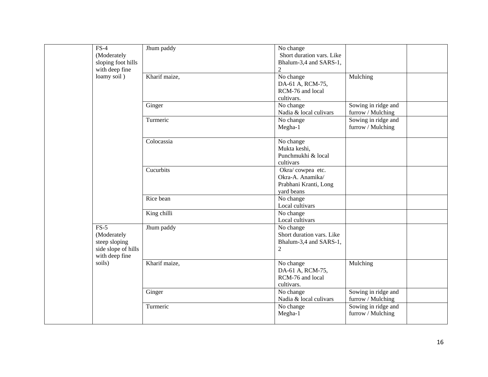| $FS-4$<br>(Moderately<br>sloping foot hills<br>with deep fine                   | Jhum paddy    | No change<br>Short duration vars. Like<br>Bhalum-3,4 and SARS-1,<br>$\overline{2}$ |                                          |  |
|---------------------------------------------------------------------------------|---------------|------------------------------------------------------------------------------------|------------------------------------------|--|
| loamy soil)                                                                     | Kharif maize, | No change<br>DA-61 A, RCM-75,<br>RCM-76 and local<br>cultivars.                    | Mulching                                 |  |
|                                                                                 | Ginger        | No change<br>Nadia & local culivars                                                | Sowing in ridge and<br>furrow / Mulching |  |
|                                                                                 | Turmeric      | No change<br>Megha-1                                                               | Sowing in ridge and<br>furrow / Mulching |  |
|                                                                                 | Colocassia    | No change<br>Mukta keshi,<br>Punchmukhi & local<br>cultivars                       |                                          |  |
|                                                                                 | Cucurbits     | Okra/cowpea etc.<br>Okra-A. Anamika/<br>Prabhani Kranti, Long<br>yard beans        |                                          |  |
|                                                                                 | Rice bean     | No change<br>Local cultivars                                                       |                                          |  |
|                                                                                 | King chilli   | No change<br>Local cultivars                                                       |                                          |  |
| $FS-5$<br>(Moderately<br>steep sloping<br>side slope of hills<br>with deep fine | Jhum paddy    | No change<br>Short duration vars. Like<br>Bhalum-3,4 and SARS-1,<br>$\overline{2}$ |                                          |  |
| soils)                                                                          | Kharif maize, | No change<br>DA-61 A, RCM-75,<br>RCM-76 and local<br>cultivars.                    | Mulching                                 |  |
|                                                                                 | Ginger        | No change<br>Nadia & local culivars                                                | Sowing in ridge and<br>furrow / Mulching |  |
|                                                                                 | Turmeric      | No change<br>Megha-1                                                               | Sowing in ridge and<br>furrow / Mulching |  |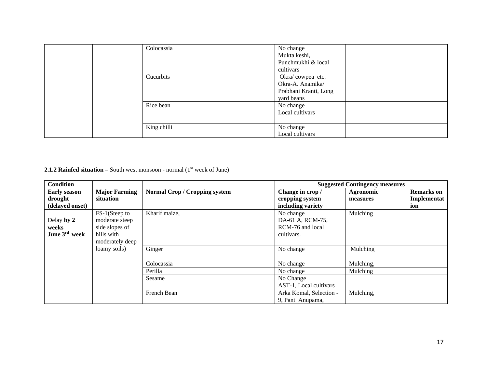| Colocassia  | No change<br>Mukta keshi,<br>Punchmukhi & local<br>cultivars                |
|-------------|-----------------------------------------------------------------------------|
| Cucurbits   | Okra/cowpea etc.<br>Okra-A. Anamika/<br>Prabhani Kranti, Long<br>yard beans |
| Rice bean   | No change<br>Local cultivars                                                |
| King chilli | No change<br>Local cultivars                                                |

**2.1.2 Rainfed situation** – South west monsoon - normal  $(1<sup>st</sup>$  week of June)

| <b>Condition</b>          |                      |                                      |                         | <b>Suggested Contingency measures</b> |                   |
|---------------------------|----------------------|--------------------------------------|-------------------------|---------------------------------------|-------------------|
| <b>Early season</b>       | <b>Major Farming</b> | <b>Normal Crop / Cropping system</b> | Change in crop /        | Agronomic                             | <b>Remarks</b> on |
| drought                   | situation            |                                      | cropping system         | measures                              | Implementat       |
| (delayed onset)           |                      |                                      | including variety       |                                       | ion               |
|                           | FS-1(Steep to        | Kharif maize,                        | No change               | Mulching                              |                   |
| Delay by 2                | moderate steep       |                                      | DA-61 A, RCM-75,        |                                       |                   |
| weeks                     | side slopes of       |                                      | RCM-76 and local        |                                       |                   |
| June $3^{\text{rd}}$ week | hills with           |                                      | cultivars.              |                                       |                   |
|                           | moderately deep      |                                      |                         |                                       |                   |
|                           | loamy soils)         | Ginger                               | No change               | Mulching                              |                   |
|                           |                      | Colocassia                           | No change               | Mulching,                             |                   |
|                           |                      |                                      |                         |                                       |                   |
|                           |                      | Perilla                              | No change               | Mulching                              |                   |
|                           |                      | Sesame                               | No Change               |                                       |                   |
|                           |                      |                                      | AST-1, Local cultivars  |                                       |                   |
|                           |                      | French Bean                          | Arka Komal, Selection - | Mulching,                             |                   |
|                           |                      |                                      | 9, Pant Anupama,        |                                       |                   |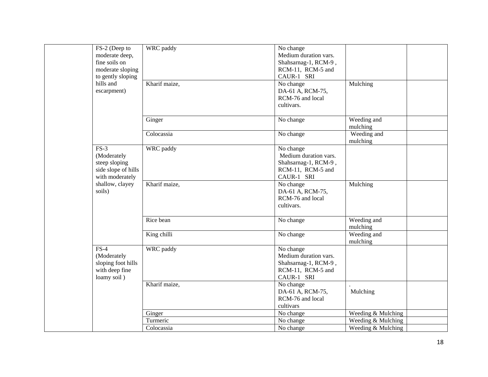| FS-2 (Deep to<br>moderate deep,<br>fine soils on                                 | WRC paddy     | No change<br>Medium duration vars.<br>Shahsarnag-1, RCM-9,                                    |                         |
|----------------------------------------------------------------------------------|---------------|-----------------------------------------------------------------------------------------------|-------------------------|
| moderate sloping<br>to gently sloping                                            |               | RCM-11, RCM-5 and<br>CAUR-1 SRI                                                               |                         |
| hills and<br>escarpment)                                                         | Kharif maize, | No change<br>DA-61 A, RCM-75,<br>RCM-76 and local<br>cultivars.                               | Mulching                |
|                                                                                  | Ginger        | No change                                                                                     | Weeding and<br>mulching |
|                                                                                  | Colocassia    | No change                                                                                     | Weeding and<br>mulching |
| $FS-3$<br>(Moderately<br>steep sloping<br>side slope of hills<br>with moderately | WRC paddy     | No change<br>Medium duration vars.<br>Shahsarnag-1, RCM-9,<br>RCM-11, RCM-5 and<br>CAUR-1 SRI |                         |
| shallow, clayey<br>soils)                                                        | Kharif maize, | No change<br>DA-61 A, RCM-75,<br>RCM-76 and local<br>cultivars.                               | Mulching                |
|                                                                                  | Rice bean     | No change                                                                                     | Weeding and<br>mulching |
|                                                                                  | King chilli   | No change                                                                                     | Weeding and<br>mulching |
| $FS-4$<br>(Moderately<br>sloping foot hills<br>with deep fine<br>loamy soil)     | WRC paddy     | No change<br>Medium duration vars.<br>Shahsarnag-1, RCM-9,<br>RCM-11, RCM-5 and<br>CAUR-1 SRI |                         |
|                                                                                  | Kharif maize, | No change<br>DA-61 A, RCM-75,<br>RCM-76 and local<br>cultivars                                | Mulching                |
|                                                                                  | Ginger        | No change                                                                                     | Weeding & Mulching      |
|                                                                                  | Turmeric      | No change                                                                                     | Weeding & Mulching      |
|                                                                                  | Colocassia    | No change                                                                                     | Weeding & Mulching      |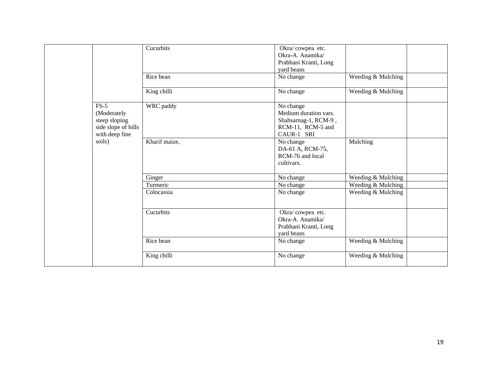|                                                                                 | Cucurbits     | Okra/cowpea etc.<br>Okra-A. Anamika/<br>Prabhani Kranti, Long<br>yard beans                   |                    |  |
|---------------------------------------------------------------------------------|---------------|-----------------------------------------------------------------------------------------------|--------------------|--|
|                                                                                 | Rice bean     | No change                                                                                     | Weeding & Mulching |  |
|                                                                                 | King chilli   | No change                                                                                     | Weeding & Mulching |  |
| $FS-5$<br>(Moderately<br>steep sloping<br>side slope of hills<br>with deep fine | WRC paddy     | No change<br>Medium duration vars.<br>Shahsarnag-1, RCM-9,<br>RCM-11, RCM-5 and<br>CAUR-1 SRI |                    |  |
| soils)                                                                          | Kharif maize, | No change<br>DA-61 A, RCM-75,<br>RCM-76 and local<br>cultivars.                               | Mulching           |  |
|                                                                                 | Ginger        | No change                                                                                     | Weeding & Mulching |  |
|                                                                                 | Turmeric      | No change                                                                                     | Weeding & Mulching |  |
|                                                                                 | Colocassia    | No change                                                                                     | Weeding & Mulching |  |
|                                                                                 | Cucurbits     | Okra/cowpea etc.<br>Okra-A. Anamika/<br>Prabhani Kranti, Long<br>yard beans                   |                    |  |
|                                                                                 | Rice bean     | No change                                                                                     | Weeding & Mulching |  |
|                                                                                 | King chilli   | No change                                                                                     | Weeding & Mulching |  |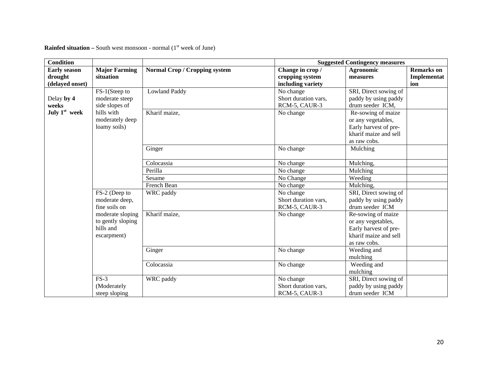| <b>Condition</b>          |                      |                                      |                      | <b>Suggested Contingency measures</b> |                   |
|---------------------------|----------------------|--------------------------------------|----------------------|---------------------------------------|-------------------|
| <b>Early season</b>       | <b>Major Farming</b> | <b>Normal Crop / Cropping system</b> | Change in crop /     | Agronomic                             | <b>Remarks</b> on |
| drought                   | situation            |                                      | cropping system      | measures                              | Implementat       |
| (delayed onset)           |                      |                                      | including variety    |                                       | ion               |
|                           | FS-1(Steep to        | <b>Lowland Paddy</b>                 | No change            | SRI, Direct sowing of                 |                   |
| Delay by 4                | moderate steep       |                                      | Short duration vars, | paddy by using paddy                  |                   |
| weeks                     | side slopes of       |                                      | RCM-5, CAUR-3        | drum seeder ICM,                      |                   |
| July 1 <sup>st</sup> week | hills with           | Kharif maize,                        | No change            | Re-sowing of maize                    |                   |
|                           | moderately deep      |                                      |                      | or any vegetables,                    |                   |
|                           | loamy soils)         |                                      |                      | Early harvest of pre-                 |                   |
|                           |                      |                                      |                      | kharif maize and sell                 |                   |
|                           |                      |                                      |                      | as raw cobs.                          |                   |
|                           |                      | Ginger                               | No change            | Mulching                              |                   |
|                           |                      |                                      |                      |                                       |                   |
|                           |                      | Colocassia                           | No change            | Mulching,                             |                   |
|                           |                      | Perilla                              | No change            | Mulching                              |                   |
|                           |                      | Sesame                               | No Change            | Weeding                               |                   |
|                           |                      | French Bean                          | No change            | Mulching,                             |                   |
|                           | FS-2 (Deep to        | WRC paddy                            | No change            | SRI, Direct sowing of                 |                   |
|                           | moderate deep,       |                                      | Short duration vars, | paddy by using paddy                  |                   |
|                           | fine soils on        |                                      | RCM-5, CAUR-3        | drum seeder ICM                       |                   |
|                           | moderate sloping     | Kharif maize,                        | No change            | Re-sowing of maize                    |                   |
|                           | to gently sloping    |                                      |                      | or any vegetables,                    |                   |
|                           | hills and            |                                      |                      | Early harvest of pre-                 |                   |
|                           | escarpment)          |                                      |                      | kharif maize and sell                 |                   |
|                           |                      |                                      |                      | as raw cobs.                          |                   |
|                           |                      | Ginger                               | No change            | Weeding and                           |                   |
|                           |                      |                                      |                      | mulching                              |                   |
|                           |                      | Colocassia                           | No change            | Weeding and                           |                   |
|                           |                      |                                      |                      | mulching                              |                   |
|                           | $FS-3$               | WRC paddy                            | No change            | SRI, Direct sowing of                 |                   |
|                           | (Moderately          |                                      | Short duration vars, | paddy by using paddy                  |                   |
|                           | steep sloping        |                                      | RCM-5, CAUR-3        | drum seeder ICM                       |                   |

**Rainfed situation –** South west monsoon - normal  $(1<sup>st</sup>$  week of June)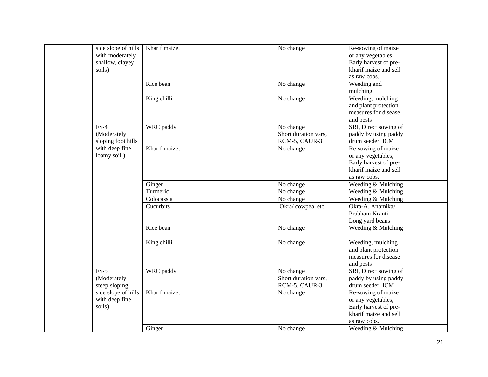|                          | side slope of hills<br>with moderately<br>shallow, clayey<br>soils) | Kharif maize, | No change                                          | Re-sowing of maize<br>or any vegetables,<br>Early harvest of pre-<br>kharif maize and sell<br>as raw cobs. |
|--------------------------|---------------------------------------------------------------------|---------------|----------------------------------------------------|------------------------------------------------------------------------------------------------------------|
|                          |                                                                     | Rice bean     | No change                                          | Weeding and<br>mulching                                                                                    |
|                          |                                                                     | King chilli   | No change                                          | Weeding, mulching<br>and plant protection<br>measures for disease<br>and pests                             |
|                          | $FS-4$<br>(Moderately<br>sloping foot hills                         | WRC paddy     | No change<br>Short duration vars,<br>RCM-5, CAUR-3 | SRI, Direct sowing of<br>paddy by using paddy<br>drum seeder ICM                                           |
|                          | with deep fine<br>loamy soil)                                       | Kharif maize, | No change                                          | Re-sowing of maize<br>or any vegetables,<br>Early harvest of pre-<br>kharif maize and sell<br>as raw cobs. |
|                          |                                                                     | Ginger        | No change                                          | Weeding & Mulching                                                                                         |
|                          |                                                                     | Turmeric      | No change                                          | Weeding & Mulching                                                                                         |
|                          |                                                                     | Colocassia    | No change                                          | Weeding & Mulching                                                                                         |
|                          |                                                                     | Cucurbits     | Okra/cowpea etc.                                   | Okra-A. Anamika/<br>Prabhani Kranti,<br>Long yard beans                                                    |
|                          |                                                                     | Rice bean     | No change                                          | Weeding & Mulching                                                                                         |
|                          |                                                                     | King chilli   | No change                                          | Weeding, mulching<br>and plant protection<br>measures for disease<br>and pests                             |
|                          | $FS-5$<br>(Moderately<br>steep sloping                              | WRC paddy     | No change<br>Short duration vars,<br>RCM-5, CAUR-3 | SRI, Direct sowing of<br>paddy by using paddy<br>drum seeder ICM                                           |
| with deep fine<br>soils) | side slope of hills                                                 | Kharif maize, | No change                                          | Re-sowing of maize<br>or any vegetables,<br>Early harvest of pre-<br>kharif maize and sell<br>as raw cobs. |
|                          |                                                                     | Ginger        | No change                                          | Weeding & Mulching                                                                                         |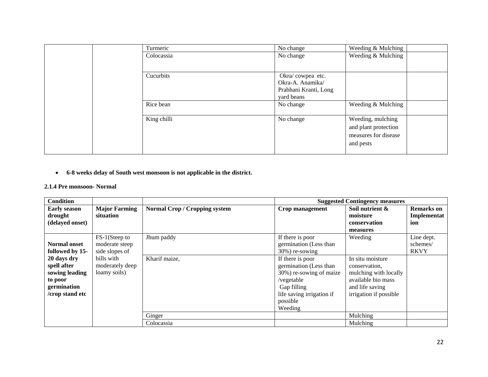|  |           | Turmeric    | No change             | Weeding & Mulching   |
|--|-----------|-------------|-----------------------|----------------------|
|  |           | Colocassia  | No change             | Weeding & Mulching   |
|  |           |             |                       |                      |
|  |           | Cucurbits   | Okra/cowpea etc.      |                      |
|  |           |             | Okra-A. Anamika/      |                      |
|  |           |             | Prabhani Kranti, Long |                      |
|  |           |             | yard beans            |                      |
|  | Rice bean | No change   | Weeding & Mulching    |                      |
|  |           | King chilli | No change             | Weeding, mulching    |
|  |           |             |                       | and plant protection |
|  |           |             |                       | measures for disease |
|  |           |             |                       | and pests            |
|  |           |             |                       |                      |

• **6-8 weeks delay of South west monsoon is not applicable in the district.**

#### **2.1.4 Pre monsoon- Normal**

| <b>Condition</b>                                                                          |                                                   |                                      |                                                                                                                                                        | <b>Suggested Contingency measures</b>                                                                                         |                                         |
|-------------------------------------------------------------------------------------------|---------------------------------------------------|--------------------------------------|--------------------------------------------------------------------------------------------------------------------------------------------------------|-------------------------------------------------------------------------------------------------------------------------------|-----------------------------------------|
| <b>Early season</b><br>drought<br>(delayed onset)                                         | <b>Major Farming</b><br>situation                 | <b>Normal Crop / Cropping system</b> | Crop management                                                                                                                                        | Soil nutrient &<br>moisture<br>conservation<br>measures                                                                       | <b>Remarks</b> on<br>Implementat<br>ion |
| <b>Normal</b> onset<br>followed by 15-                                                    | FS-1(Steep to<br>moderate steep<br>side slopes of | Jhum paddy                           | If there is poor<br>germination (Less than<br>$30\%$ ) re-sowing                                                                                       | Weeding                                                                                                                       | Line dept.<br>schemes/<br><b>RKVY</b>   |
| 20 days dry<br>spell after<br>sowing leading<br>to poor<br>germination<br>/crop stand etc | hills with<br>moderately deep<br>loamy soils)     | Kharif maize,                        | If there is poor<br>germination (Less than<br>30%) re-sowing of maize<br>/vegetable<br>Gap filling<br>life saving irrigation if<br>possible<br>Weeding | In situ moisture<br>conservation,<br>mulching with locally<br>available bio mass<br>and life saving<br>irrigation if possible |                                         |
|                                                                                           |                                                   | Ginger                               |                                                                                                                                                        | Mulching                                                                                                                      |                                         |
|                                                                                           |                                                   | Colocassia                           |                                                                                                                                                        | Mulching                                                                                                                      |                                         |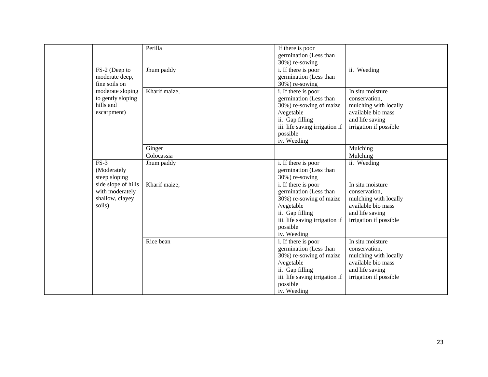|                     | Perilla       | If there is poor               |                        |  |
|---------------------|---------------|--------------------------------|------------------------|--|
|                     |               | germination (Less than         |                        |  |
|                     |               | 30%) re-sowing                 |                        |  |
| FS-2 (Deep to       | Jhum paddy    | i. If there is poor            | ii. Weeding            |  |
| moderate deep,      |               | germination (Less than         |                        |  |
| fine soils on       |               | 30%) re-sowing                 |                        |  |
| moderate sloping    | Kharif maize, | i. If there is poor            | In situ moisture       |  |
| to gently sloping   |               | germination (Less than         | conservation,          |  |
| hills and           |               | 30%) re-sowing of maize        | mulching with locally  |  |
| escarpment)         |               | /vegetable                     | available bio mass     |  |
|                     |               | ii. Gap filling                | and life saving        |  |
|                     |               | iii. life saving irrigation if | irrigation if possible |  |
|                     |               |                                |                        |  |
|                     |               | possible                       |                        |  |
|                     |               | iv. Weeding                    |                        |  |
|                     | Ginger        |                                | Mulching               |  |
|                     | Colocassia    |                                | Mulching               |  |
| $FS-3$              | Jhum paddy    | i. If there is poor            | ii. Weeding            |  |
| (Moderately         |               | germination (Less than         |                        |  |
| steep sloping       |               | 30%) re-sowing                 |                        |  |
| side slope of hills | Kharif maize, | i. If there is poor            | In situ moisture       |  |
| with moderately     |               | germination (Less than         | conservation,          |  |
| shallow, clayey     |               | 30%) re-sowing of maize        | mulching with locally  |  |
| soils)              |               | /vegetable                     | available bio mass     |  |
|                     |               | ii. Gap filling                | and life saving        |  |
|                     |               | iii. life saving irrigation if | irrigation if possible |  |
|                     |               | possible                       |                        |  |
|                     |               | iv. Weeding                    |                        |  |
|                     | Rice bean     | i. If there is poor            | In situ moisture       |  |
|                     |               | germination (Less than         | conservation,          |  |
|                     |               | 30%) re-sowing of maize        | mulching with locally  |  |
|                     |               | /vegetable                     | available bio mass     |  |
|                     |               | ii. Gap filling                | and life saving        |  |
|                     |               | iii. life saving irrigation if | irrigation if possible |  |
|                     |               | possible                       |                        |  |
|                     |               | iv. Weeding                    |                        |  |
|                     |               |                                |                        |  |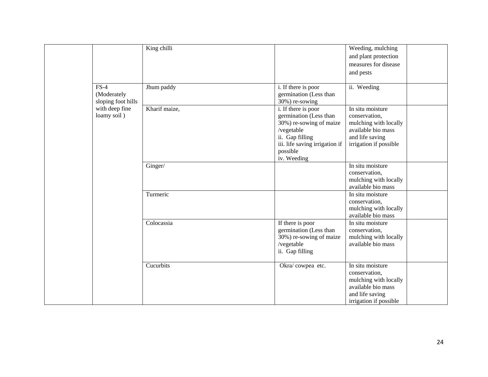|  |                                             | King chilli                                                                                            |                                                                                                                                                                        | Weeding, mulching<br>and plant protection                                                                                     |  |
|--|---------------------------------------------|--------------------------------------------------------------------------------------------------------|------------------------------------------------------------------------------------------------------------------------------------------------------------------------|-------------------------------------------------------------------------------------------------------------------------------|--|
|  |                                             |                                                                                                        |                                                                                                                                                                        | measures for disease                                                                                                          |  |
|  |                                             |                                                                                                        |                                                                                                                                                                        | and pests                                                                                                                     |  |
|  |                                             |                                                                                                        |                                                                                                                                                                        |                                                                                                                               |  |
|  | $FS-4$<br>(Moderately<br>sloping foot hills | Jhum paddy                                                                                             | i. If there is poor<br>germination (Less than<br>30%) re-sowing                                                                                                        | ii. Weeding                                                                                                                   |  |
|  | with deep fine<br>loamy soil)               | Kharif maize,                                                                                          | i. If there is poor<br>germination (Less than<br>30%) re-sowing of maize<br>/vegetable<br>ii. Gap filling<br>iii. life saving irrigation if<br>possible<br>iv. Weeding | In situ moisture<br>conservation,<br>mulching with locally<br>available bio mass<br>and life saving<br>irrigation if possible |  |
|  |                                             | Ginger/                                                                                                |                                                                                                                                                                        | In situ moisture<br>conservation,<br>mulching with locally<br>available bio mass                                              |  |
|  |                                             | Turmeric                                                                                               |                                                                                                                                                                        | In situ moisture<br>conservation,<br>mulching with locally<br>available bio mass                                              |  |
|  | Colocassia                                  | If there is poor<br>germination (Less than<br>30%) re-sowing of maize<br>/vegetable<br>ii. Gap filling | In situ moisture<br>conservation,<br>mulching with locally<br>available bio mass                                                                                       |                                                                                                                               |  |
|  |                                             | Cucurbits                                                                                              | Okra/cowpea etc.                                                                                                                                                       | In situ moisture<br>conservation,<br>mulching with locally<br>available bio mass<br>and life saving<br>irrigation if possible |  |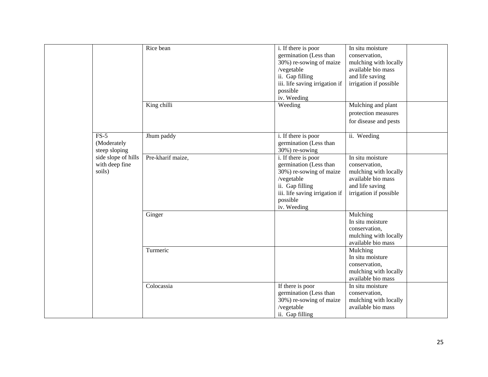|                                                 | Rice bean         | i. If there is poor<br>germination (Less than<br>30%) re-sowing of maize<br>/vegetable<br>ii. Gap filling<br>iii. life saving irrigation if<br>possible<br>iv. Weeding | In situ moisture<br>conservation,<br>mulching with locally<br>available bio mass<br>and life saving<br>irrigation if possible |
|-------------------------------------------------|-------------------|------------------------------------------------------------------------------------------------------------------------------------------------------------------------|-------------------------------------------------------------------------------------------------------------------------------|
|                                                 | King chilli       | Weeding                                                                                                                                                                | Mulching and plant<br>protection measures<br>for disease and pests                                                            |
| $FS-5$<br>(Moderately<br>steep sloping          | Jhum paddy        | i. If there is poor<br>germination (Less than<br>30%) re-sowing                                                                                                        | ii. Weeding                                                                                                                   |
| side slope of hills<br>with deep fine<br>soils) | Pre-kharif maize, | i. If there is poor<br>germination (Less than<br>30%) re-sowing of maize<br>/vegetable<br>ii. Gap filling<br>iii. life saving irrigation if<br>possible<br>iv. Weeding | In situ moisture<br>conservation,<br>mulching with locally<br>available bio mass<br>and life saving<br>irrigation if possible |
|                                                 | Ginger            |                                                                                                                                                                        | Mulching<br>In situ moisture<br>conservation,<br>mulching with locally<br>available bio mass                                  |
|                                                 | Turmeric          |                                                                                                                                                                        | Mulching<br>In situ moisture<br>conservation,<br>mulching with locally<br>available bio mass                                  |
|                                                 | Colocassia        | If there is poor<br>germination (Less than<br>30%) re-sowing of maize<br>/vegetable<br>ii. Gap filling                                                                 | In situ moisture<br>conservation,<br>mulching with locally<br>available bio mass                                              |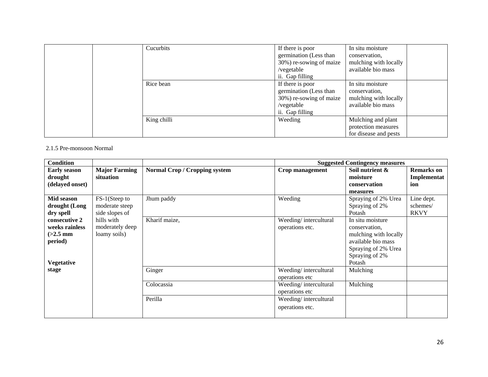| Cucurbits   | If there is poor        | In situ moisture      |  |
|-------------|-------------------------|-----------------------|--|
|             | germination (Less than  | conservation.         |  |
|             | 30%) re-sowing of maize | mulching with locally |  |
|             | /vegetable              | available bio mass    |  |
|             | ii. Gap filling         |                       |  |
| Rice bean   | If there is poor        | In situ moisture      |  |
|             | germination (Less than  | conservation,         |  |
|             | 30%) re-sowing of maize | mulching with locally |  |
|             | /vegetable              | available bio mass    |  |
|             | ii. Gap filling         |                       |  |
| King chilli | Weeding                 | Mulching and plant    |  |
|             |                         | protection measures   |  |
|             |                         | for disease and pests |  |

#### 2.1.5 Pre-monsoon Normal

| <b>Condition</b>                                                              |                                                   |                                      |                                          | <b>Suggested Contingency measures</b>                                                                                               |                                         |
|-------------------------------------------------------------------------------|---------------------------------------------------|--------------------------------------|------------------------------------------|-------------------------------------------------------------------------------------------------------------------------------------|-----------------------------------------|
| <b>Early season</b><br>drought<br>(delayed onset)                             | <b>Major Farming</b><br>situation                 | <b>Normal Crop / Cropping system</b> | Crop management                          | Soil nutrient &<br>moisture<br>conservation<br>measures                                                                             | <b>Remarks</b> on<br>Implementat<br>ion |
| Mid season<br>drought (Long<br>dry spell                                      | FS-1(Steep to<br>moderate steep<br>side slopes of | Jhum paddy                           | Weeding                                  | Spraying of 2% Urea<br>Spraying of 2%<br>Potash                                                                                     | Line dept.<br>schemes/<br><b>RKVY</b>   |
| consecutive 2<br>weeks rainless<br>$(>2.5$ mm<br>period)<br><b>Vegetative</b> | hills with<br>moderately deep<br>loamy soils)     | Kharif maize,                        | Weeding/intercultural<br>operations etc. | In situ moisture<br>conservation.<br>mulching with locally<br>available bio mass<br>Spraying of 2% Urea<br>Spraying of 2%<br>Potash |                                         |
| stage                                                                         |                                                   | Ginger                               | Weeding/intercultural<br>operations etc  | Mulching                                                                                                                            |                                         |
|                                                                               |                                                   | Colocassia                           | Weeding/intercultural<br>operations etc  | Mulching                                                                                                                            |                                         |
|                                                                               |                                                   | Perilla                              | Weeding/intercultural<br>operations etc. |                                                                                                                                     |                                         |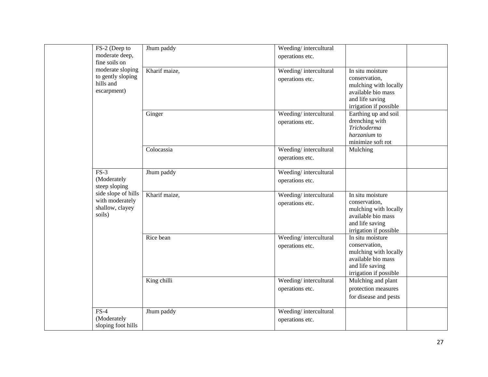| FS-2 (Deep to                        | Jhum paddy    | Weeding/intercultural                    |                                             |  |
|--------------------------------------|---------------|------------------------------------------|---------------------------------------------|--|
| moderate deep,<br>fine soils on      |               | operations etc.                          |                                             |  |
| moderate sloping                     | Kharif maize, | Weeding/intercultural                    | In situ moisture                            |  |
| to gently sloping<br>hills and       |               | operations etc.                          | conservation,                               |  |
| escarpment)                          |               |                                          | mulching with locally<br>available bio mass |  |
|                                      |               |                                          | and life saving                             |  |
|                                      |               |                                          | irrigation if possible                      |  |
|                                      | Ginger        | Weeding/intercultural                    | Earthing up and soil                        |  |
|                                      |               | operations etc.                          | drenching with                              |  |
|                                      |               |                                          | <b>Trichoderma</b>                          |  |
|                                      |               |                                          | harzanium to<br>minimize soft rot           |  |
|                                      | Colocassia    | Weeding/intercultural                    | Mulching                                    |  |
|                                      |               | operations etc.                          |                                             |  |
|                                      |               |                                          |                                             |  |
| $FS-3$                               | Jhum paddy    | Weeding/intercultural                    |                                             |  |
| (Moderately                          |               | operations etc.                          |                                             |  |
| steep sloping<br>side slope of hills |               |                                          |                                             |  |
| with moderately                      | Kharif maize, | Weeding/intercultural                    | In situ moisture<br>conservation,           |  |
| shallow, clayey                      |               | operations etc.                          | mulching with locally                       |  |
| soils)                               |               |                                          | available bio mass                          |  |
|                                      |               |                                          | and life saving                             |  |
|                                      |               |                                          | irrigation if possible                      |  |
|                                      | Rice bean     | Weeding/intercultural<br>operations etc. | In situ moisture<br>conservation,           |  |
|                                      |               |                                          | mulching with locally                       |  |
|                                      |               |                                          | available bio mass                          |  |
|                                      |               |                                          | and life saving                             |  |
|                                      | King chilli   | Weeding/intercultural                    | irrigation if possible                      |  |
|                                      |               | operations etc.                          | Mulching and plant<br>protection measures   |  |
|                                      |               |                                          | for disease and pests                       |  |
|                                      |               |                                          |                                             |  |
| $FS-4$                               | Jhum paddy    | Weeding/intercultural                    |                                             |  |
| (Moderately                          |               | operations etc.                          |                                             |  |
| sloping foot hills                   |               |                                          |                                             |  |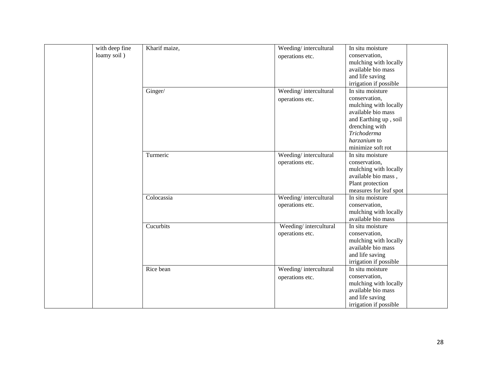|                | Kharif maize, | Weeding/intercultural | In situ moisture       |
|----------------|---------------|-----------------------|------------------------|
| with deep fine |               |                       |                        |
| loamy soil)    |               | operations etc.       | conservation,          |
|                |               |                       | mulching with locally  |
|                |               |                       | available bio mass     |
|                |               |                       | and life saving        |
|                |               |                       | irrigation if possible |
|                | Ginger/       | Weeding/intercultural | In situ moisture       |
|                |               | operations etc.       | conservation,          |
|                |               |                       | mulching with locally  |
|                |               |                       | available bio mass     |
|                |               |                       | and Earthing up, soil  |
|                |               |                       | drenching with         |
|                |               |                       | Trichoderma            |
|                |               |                       | harzanium to           |
|                |               |                       | minimize soft rot      |
|                | Turmeric      | Weeding/intercultural | In situ moisture       |
|                |               | operations etc.       | conservation,          |
|                |               |                       | mulching with locally  |
|                |               |                       | available bio mass,    |
|                |               |                       | Plant protection       |
|                |               |                       | measures for leaf spot |
|                | Colocassia    | Weeding/intercultural | In situ moisture       |
|                |               | operations etc.       | conservation,          |
|                |               |                       | mulching with locally  |
|                |               |                       | available bio mass     |
|                | Cucurbits     | Weeding/intercultural | In situ moisture       |
|                |               | operations etc.       | conservation,          |
|                |               |                       | mulching with locally  |
|                |               |                       | available bio mass     |
|                |               |                       | and life saving        |
|                |               |                       | irrigation if possible |
|                | Rice bean     | Weeding/intercultural | In situ moisture       |
|                |               |                       | conservation,          |
|                |               | operations etc.       | mulching with locally  |
|                |               |                       | available bio mass     |
|                |               |                       |                        |
|                |               |                       | and life saving        |
|                |               |                       | irrigation if possible |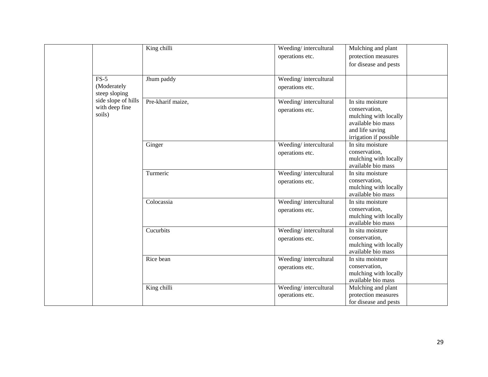|  |                                                 | King chilli       | Weeding/intercultural<br>operations etc. | Mulching and plant<br>protection measures<br>for disease and pests                                                            |
|--|-------------------------------------------------|-------------------|------------------------------------------|-------------------------------------------------------------------------------------------------------------------------------|
|  | $FS-5$<br>(Moderately<br>steep sloping          | Jhum paddy        | Weeding/intercultural<br>operations etc. |                                                                                                                               |
|  | side slope of hills<br>with deep fine<br>soils) | Pre-kharif maize, | Weeding/intercultural<br>operations etc. | In situ moisture<br>conservation,<br>mulching with locally<br>available bio mass<br>and life saving<br>irrigation if possible |
|  |                                                 | Ginger            | Weeding/intercultural<br>operations etc. | In situ moisture<br>conservation,<br>mulching with locally<br>available bio mass                                              |
|  |                                                 | Turmeric          | Weeding/intercultural<br>operations etc. | In situ moisture<br>conservation,<br>mulching with locally<br>available bio mass                                              |
|  |                                                 | Colocassia        | Weeding/intercultural<br>operations etc. | In situ moisture<br>conservation,<br>mulching with locally<br>available bio mass                                              |
|  |                                                 | Cucurbits         | Weeding/intercultural<br>operations etc. | In situ moisture<br>conservation,<br>mulching with locally<br>available bio mass                                              |
|  |                                                 | Rice bean         | Weeding/intercultural<br>operations etc. | In situ moisture<br>conservation,<br>mulching with locally<br>available bio mass                                              |
|  |                                                 | King chilli       | Weeding/intercultural<br>operations etc. | Mulching and plant<br>protection measures<br>for disease and pests                                                            |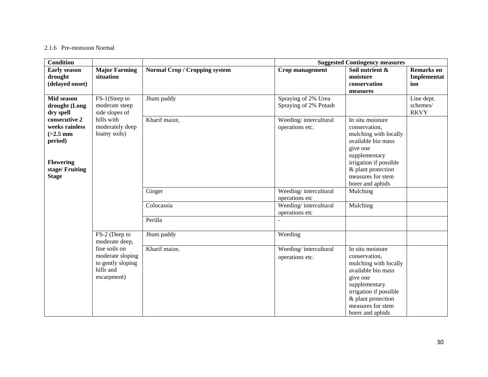#### 2.1.6 Pre-monsoon Normal

| <b>Condition</b>                                                                                                                             |                                                                                    |                                      |                                              | <b>Suggested Contingency measures</b>                                                                                                                                                                  |                                         |
|----------------------------------------------------------------------------------------------------------------------------------------------|------------------------------------------------------------------------------------|--------------------------------------|----------------------------------------------|--------------------------------------------------------------------------------------------------------------------------------------------------------------------------------------------------------|-----------------------------------------|
| <b>Early season</b><br>drought<br>(delayed onset)                                                                                            | <b>Major Farming</b><br>situation                                                  | <b>Normal Crop / Cropping system</b> | Crop management                              | Soil nutrient &<br>moisture<br>conservation                                                                                                                                                            | <b>Remarks</b> on<br>Implementat<br>ion |
|                                                                                                                                              |                                                                                    |                                      |                                              | measures                                                                                                                                                                                               |                                         |
| Mid season<br>drought (Long<br>dry spell                                                                                                     | FS-1(Steep to<br>moderate steep<br>side slopes of                                  | Jhum paddy                           | Spraying of 2% Urea<br>Spraying of 2% Potash |                                                                                                                                                                                                        | Line dept.<br>schemes/<br><b>RKVY</b>   |
| hills with<br>consecutive 2<br>weeks rainless<br>$(>2.5$ mm<br>loamy soils)<br>period)<br><b>Flowering</b><br>stage/Fruiting<br><b>Stage</b> | moderately deep                                                                    | Kharif maize,                        | Weeding/intercultural<br>operations etc.     | In situ moisture<br>conservation,<br>mulching with locally<br>available bio mass<br>give one<br>supplementary<br>irrigation if possible<br>& plant protection<br>measures for stem                     |                                         |
|                                                                                                                                              |                                                                                    |                                      |                                              | borer and aphids                                                                                                                                                                                       |                                         |
|                                                                                                                                              |                                                                                    | Ginger                               | Weeding/intercultural<br>operations etc      | Mulching                                                                                                                                                                                               |                                         |
|                                                                                                                                              |                                                                                    | Colocassia                           | Weeding/intercultural<br>operations etc      | Mulching                                                                                                                                                                                               |                                         |
|                                                                                                                                              |                                                                                    | Perilla                              |                                              |                                                                                                                                                                                                        |                                         |
|                                                                                                                                              | FS-2 (Deep to<br>moderate deep,                                                    | Jhum paddy                           | Weeding                                      |                                                                                                                                                                                                        |                                         |
|                                                                                                                                              | fine soils on<br>moderate sloping<br>to gently sloping<br>hills and<br>escarpment) | Kharif maize,                        | Weeding/intercultural<br>operations etc.     | In situ moisture<br>conservation,<br>mulching with locally<br>available bio mass<br>give one<br>supplementary<br>irrigation if possible<br>& plant protection<br>measures for stem<br>borer and aphids |                                         |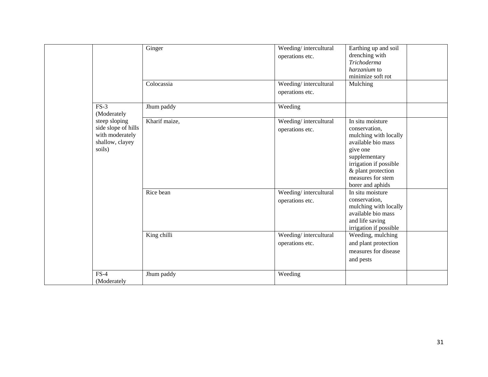|                                                                                      | Ginger<br>Colocassia | Weeding/intercultural<br>operations etc.<br>Weeding/intercultural<br>operations etc. | Earthing up and soil<br>drenching with<br><b>Trichoderma</b><br>harzanium to<br>minimize soft rot<br>Mulching                                                                                          |
|--------------------------------------------------------------------------------------|----------------------|--------------------------------------------------------------------------------------|--------------------------------------------------------------------------------------------------------------------------------------------------------------------------------------------------------|
| $FS-3$<br>(Moderately                                                                | Jhum paddy           | Weeding                                                                              |                                                                                                                                                                                                        |
| steep sloping<br>side slope of hills<br>with moderately<br>shallow, clayey<br>soils) | Kharif maize,        | Weeding/intercultural<br>operations etc.                                             | In situ moisture<br>conservation,<br>mulching with locally<br>available bio mass<br>give one<br>supplementary<br>irrigation if possible<br>& plant protection<br>measures for stem<br>borer and aphids |
|                                                                                      | Rice bean            | Weeding/intercultural<br>operations etc.                                             | In situ moisture<br>conservation,<br>mulching with locally<br>available bio mass<br>and life saving<br>irrigation if possible                                                                          |
|                                                                                      | King chilli          | Weeding/intercultural<br>operations etc.                                             | Weeding, mulching<br>and plant protection<br>measures for disease<br>and pests                                                                                                                         |
| $FS-4$<br>(Moderately                                                                | Jhum paddy           | Weeding                                                                              |                                                                                                                                                                                                        |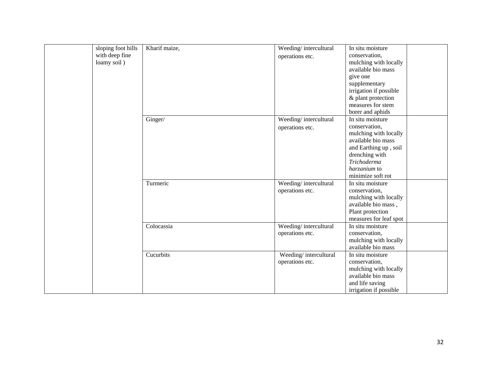| sloping foot hills | Kharif maize, | Weeding/intercultural | In situ moisture       |
|--------------------|---------------|-----------------------|------------------------|
| with deep fine     |               | operations etc.       | conservation,          |
| loamy soil)        |               |                       | mulching with locally  |
|                    |               |                       | available bio mass     |
|                    |               |                       | give one               |
|                    |               |                       | supplementary          |
|                    |               |                       | irrigation if possible |
|                    |               |                       | & plant protection     |
|                    |               |                       | measures for stem      |
|                    |               |                       | borer and aphids       |
|                    | Ginger/       | Weeding/intercultural | In situ moisture       |
|                    |               | operations etc.       | conservation,          |
|                    |               |                       | mulching with locally  |
|                    |               |                       | available bio mass     |
|                    |               |                       | and Earthing up, soil  |
|                    |               |                       | drenching with         |
|                    |               |                       | Trichoderma            |
|                    |               |                       | harzanium to           |
|                    |               |                       | minimize soft rot      |
|                    | Turmeric      | Weeding/intercultural | In situ moisture       |
|                    |               | operations etc.       | conservation,          |
|                    |               |                       | mulching with locally  |
|                    |               |                       | available bio mass,    |
|                    |               |                       | Plant protection       |
|                    |               |                       | measures for leaf spot |
|                    | Colocassia    | Weeding/intercultural | In situ moisture       |
|                    |               | operations etc.       | conservation,          |
|                    |               |                       | mulching with locally  |
|                    |               |                       | available bio mass     |
|                    | Cucurbits     | Weeding/intercultural | In situ moisture       |
|                    |               | operations etc.       | conservation,          |
|                    |               |                       | mulching with locally  |
|                    |               |                       | available bio mass     |
|                    |               |                       | and life saving        |
|                    |               |                       | irrigation if possible |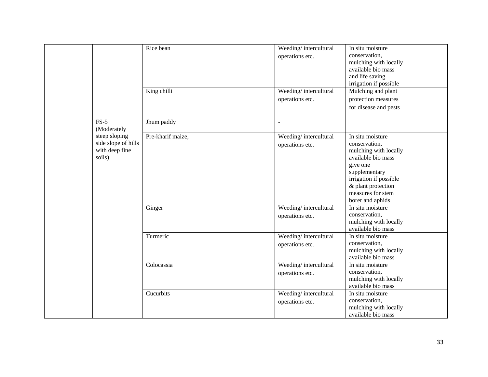|                                                                                 | Rice bean<br>King chilli    | Weeding/intercultural<br>operations etc.<br>Weeding/intercultural<br>operations etc. | In situ moisture<br>conservation,<br>mulching with locally<br>available bio mass<br>and life saving<br>irrigation if possible<br>Mulching and plant<br>protection measures<br>for disease and pests                                         |
|---------------------------------------------------------------------------------|-----------------------------|--------------------------------------------------------------------------------------|---------------------------------------------------------------------------------------------------------------------------------------------------------------------------------------------------------------------------------------------|
| $FS-5$                                                                          | Jhum paddy                  |                                                                                      |                                                                                                                                                                                                                                             |
| (Moderately<br>steep sloping<br>side slope of hills<br>with deep fine<br>soils) | Pre-kharif maize,<br>Ginger | Weeding/intercultural<br>operations etc.<br>Weeding/intercultural<br>operations etc. | In situ moisture<br>conservation,<br>mulching with locally<br>available bio mass<br>give one<br>supplementary<br>irrigation if possible<br>& plant protection<br>measures for stem<br>borer and aphids<br>In situ moisture<br>conservation, |
|                                                                                 |                             |                                                                                      | mulching with locally                                                                                                                                                                                                                       |
|                                                                                 |                             |                                                                                      | available bio mass                                                                                                                                                                                                                          |
|                                                                                 | Turmeric                    | Weeding/intercultural<br>operations etc.                                             | In situ moisture<br>conservation,<br>mulching with locally<br>available bio mass                                                                                                                                                            |
|                                                                                 | Colocassia                  | Weeding/intercultural<br>operations etc.                                             | In situ moisture<br>conservation,<br>mulching with locally<br>available bio mass                                                                                                                                                            |
|                                                                                 | Cucurbits                   | Weeding/intercultural<br>operations etc.                                             | In situ moisture<br>conservation,<br>mulching with locally<br>available bio mass                                                                                                                                                            |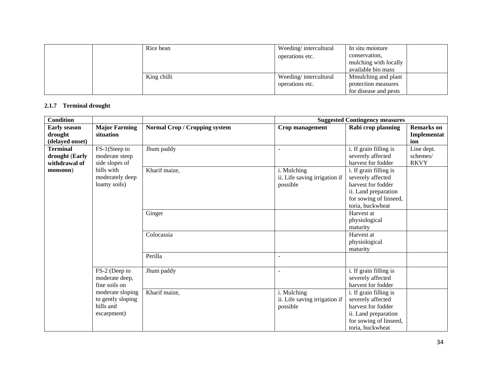|  | Rice bean   | Weeding/intercultural | In situ moisture      |
|--|-------------|-----------------------|-----------------------|
|  |             | operations etc.       | conservation,         |
|  |             |                       | mulching with locally |
|  |             |                       | available bio mass    |
|  | King chilli | Weeding/intercultural | Mmulching and plant   |
|  |             | operations etc.       | protection measures   |
|  |             |                       | for disease and pests |

## **2.1.7 Terminal drought**

| <b>Condition</b>                                   |                                                                   |                                      |                                                          | <b>Suggested Contingency measures</b>                                                                                                   |                                         |
|----------------------------------------------------|-------------------------------------------------------------------|--------------------------------------|----------------------------------------------------------|-----------------------------------------------------------------------------------------------------------------------------------------|-----------------------------------------|
| <b>Early season</b><br>drought<br>(delayed onset)  | <b>Major Farming</b><br>situation                                 | <b>Normal Crop / Cropping system</b> | Crop management                                          | Rabi crop planning                                                                                                                      | <b>Remarks</b> on<br>Implementat<br>ion |
| <b>Terminal</b><br>drought (Early<br>withdrawal of | FS-1(Steep to<br>moderate steep<br>side slopes of                 | Jhum paddy                           |                                                          | i. If grain filling is<br>severely affected<br>harvest for fodder                                                                       | Line dept.<br>schemes/<br><b>RKVY</b>   |
| monsoon)                                           | hills with<br>moderately deep<br>loamy soils)                     | Kharif maize,                        | i. Mulching<br>ii. Life saving irrigation if<br>possible | i. If grain filling is<br>severely affected<br>harvest for fodder<br>ii. Land preparation<br>for sowing of linseed,<br>toria, buckwheat |                                         |
|                                                    |                                                                   | Ginger                               |                                                          | Harvest at<br>physiological<br>maturity                                                                                                 |                                         |
|                                                    |                                                                   | Colocassia                           |                                                          | Harvest at<br>physiological<br>maturity                                                                                                 |                                         |
|                                                    |                                                                   | Perilla                              |                                                          |                                                                                                                                         |                                         |
|                                                    | FS-2 (Deep to<br>moderate deep,<br>fine soils on                  | Jhum paddy                           |                                                          | i. If grain filling is<br>severely affected<br>harvest for fodder                                                                       |                                         |
|                                                    | moderate sloping<br>to gently sloping<br>hills and<br>escarpment) | Kharif maize,                        | i. Mulching<br>ii. Life saving irrigation if<br>possible | i. If grain filling is<br>severely affected<br>harvest for fodder<br>ii. Land preparation<br>for sowing of linseed,<br>toria, buckwheat |                                         |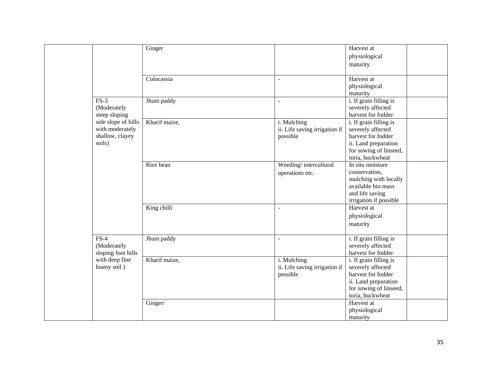|  |                     | Ginger        |                               | Harvest at             |
|--|---------------------|---------------|-------------------------------|------------------------|
|  |                     |               |                               | physiological          |
|  |                     |               |                               | maturity               |
|  |                     |               |                               |                        |
|  |                     | Colocassia    |                               | Harvest at             |
|  |                     |               |                               | physiological          |
|  |                     |               |                               | maturity               |
|  | $FS-3$              | Jhum paddy    | $\blacksquare$                | i. If grain filling is |
|  | (Moderately         |               |                               | severely affected      |
|  | steep sloping       |               |                               | harvest for fodder     |
|  | side slope of hills | Kharif maize, | i. Mulching                   | i. If grain filling is |
|  | with moderately     |               | ii. Life saving irrigation if | severely affected      |
|  | shallow, clayey     |               | possible                      | harvest for fodder     |
|  | soils)              |               |                               | ii. Land preparation   |
|  |                     |               |                               | for sowing of linseed, |
|  |                     |               |                               | toria, buckwheat       |
|  |                     | Rice bean     | Weeding/intercultural         | In situ moisture       |
|  |                     |               | operations etc.               | conservation,          |
|  |                     |               |                               | mulching with locally  |
|  |                     |               |                               | available bio mass     |
|  |                     |               |                               | and life saving        |
|  |                     |               |                               | irrigation if possible |
|  |                     | King chilli   | $\overline{a}$                | Harvest at             |
|  |                     |               |                               |                        |
|  |                     |               |                               | physiological          |
|  |                     |               |                               | maturity               |
|  | $FS-4$              | Jhum paddy    | $\overline{\phantom{a}}$      | i. If grain filling is |
|  | (Moderately         |               |                               | severely affected      |
|  | sloping foot hills  |               |                               | harvest for fodder     |
|  | with deep fine      | Kharif maize, | i. Mulching                   | i. If grain filling is |
|  | loamy soil)         |               | ii. Life saving irrigation if | severely affected      |
|  |                     |               | possible                      | harvest for fodder     |
|  |                     |               |                               | ii. Land preparation   |
|  |                     |               |                               | for sowing of linseed, |
|  |                     |               |                               | toria, buckwheat       |
|  |                     | Ginger/       |                               | Harvest at             |
|  |                     |               |                               | physiological          |
|  |                     |               |                               | maturity               |
|  |                     |               |                               |                        |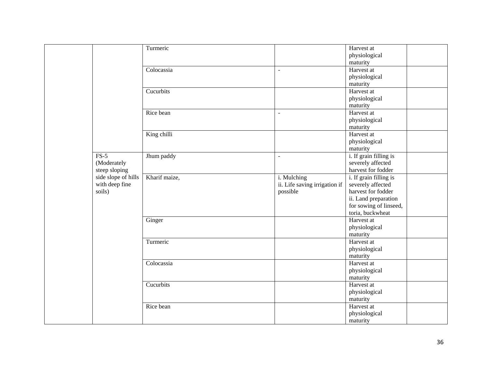|                     | Turmeric      |                               | Harvest at             |  |
|---------------------|---------------|-------------------------------|------------------------|--|
|                     |               |                               | physiological          |  |
|                     |               |                               | maturity               |  |
|                     | Colocassia    | $\sim$                        | Harvest at             |  |
|                     |               |                               | physiological          |  |
|                     |               |                               | maturity               |  |
|                     | Cucurbits     |                               | Harvest at             |  |
|                     |               |                               | physiological          |  |
|                     |               |                               | maturity               |  |
|                     | Rice bean     | $\sim$                        | Harvest at             |  |
|                     |               |                               | physiological          |  |
|                     |               |                               | maturity               |  |
|                     | King chilli   |                               | Harvest at             |  |
|                     |               |                               | physiological          |  |
|                     |               |                               | maturity               |  |
| $FS-5$              | Jhum paddy    | $\sim$                        | i. If grain filling is |  |
| (Moderately         |               |                               | severely affected      |  |
| steep sloping       |               |                               | harvest for fodder     |  |
| side slope of hills | Kharif maize, | i. Mulching                   | i. If grain filling is |  |
| with deep fine      |               | ii. Life saving irrigation if | severely affected      |  |
| soils)              |               | possible                      | harvest for fodder     |  |
|                     |               |                               | ii. Land preparation   |  |
|                     |               |                               | for sowing of linseed, |  |
|                     |               |                               | toria, buckwheat       |  |
|                     | Ginger        |                               | Harvest at             |  |
|                     |               |                               | physiological          |  |
|                     |               |                               | maturity               |  |
|                     | Turmeric      |                               | Harvest at             |  |
|                     |               |                               | physiological          |  |
|                     |               |                               | maturity               |  |
|                     | Colocassia    |                               | Harvest at             |  |
|                     |               |                               | physiological          |  |
|                     |               |                               | maturity               |  |
|                     | Cucurbits     |                               | Harvest at             |  |
|                     |               |                               | physiological          |  |
|                     |               |                               | maturity               |  |
|                     | Rice bean     |                               | Harvest at             |  |
|                     |               |                               | physiological          |  |
|                     |               |                               | maturity               |  |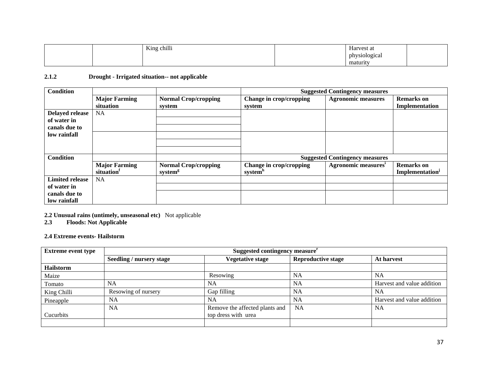|  | King chilli | Harvest at    |  |
|--|-------------|---------------|--|
|  |             | physiological |  |
|  |             | maturity      |  |

## **2.1.2 Drought - Irrigated situation-- not applicable**

| <b>Condition</b>       |                      |                             | <b>Suggested Contingency measures</b> |                                       |                             |  |
|------------------------|----------------------|-----------------------------|---------------------------------------|---------------------------------------|-----------------------------|--|
|                        | <b>Major Farming</b> | <b>Normal Crop/cropping</b> | Change in crop/cropping               | <b>Agronomic measures</b>             | <b>Remarks</b> on           |  |
|                        | situation            | system                      | system                                |                                       | Implementation              |  |
| <b>Delayed release</b> | NA.                  |                             |                                       |                                       |                             |  |
| of water in            |                      |                             |                                       |                                       |                             |  |
| canals due to          |                      |                             |                                       |                                       |                             |  |
| low rainfall           |                      |                             |                                       |                                       |                             |  |
|                        |                      |                             |                                       |                                       |                             |  |
|                        |                      |                             |                                       |                                       |                             |  |
| <b>Condition</b>       |                      |                             |                                       | <b>Suggested Contingency measures</b> |                             |  |
|                        | <b>Major Farming</b> | <b>Normal Crop/cropping</b> | Change in crop/cropping               | Agronomic measures <sup>1</sup>       | <b>Remarks</b> on           |  |
|                        | situation            | system <sup>g</sup>         | system <sup>n</sup>                   |                                       | Implementation <sup>j</sup> |  |
| <b>Limited release</b> | NA.                  |                             |                                       |                                       |                             |  |
| of water in            |                      |                             |                                       |                                       |                             |  |
| canals due to          |                      |                             |                                       |                                       |                             |  |
| low rainfall           |                      |                             |                                       |                                       |                             |  |

**2.2 Unusual rains (untimely, unseasonal etc)** Not applicable

**2.3 Floods: Not Applicable** 

**2.4 Extreme events- Hailstorm** 

| <b>Extreme event type</b> | Suggested contingency measure <sup>r</sup> |                                |                           |                            |
|---------------------------|--------------------------------------------|--------------------------------|---------------------------|----------------------------|
|                           | Seedling / nursery stage                   | <b>Vegetative stage</b>        | <b>Reproductive stage</b> | At harvest                 |
| <b>Hailstorm</b>          |                                            |                                |                           |                            |
| Maize                     |                                            | Resowing                       | <b>NA</b>                 | <b>NA</b>                  |
| Tomato                    | <b>NA</b>                                  | <b>NA</b>                      | <b>NA</b>                 | Harvest and value addition |
| King Chilli               | Resowing of nursery                        | Gap filling                    | <b>NA</b>                 | <b>NA</b>                  |
| Pineapple                 | <b>NA</b>                                  | <b>NA</b>                      | <b>NA</b>                 | Harvest and value addition |
|                           | <b>NA</b>                                  | Remove the affected plants and | <b>NA</b>                 | <b>NA</b>                  |
| Cucurbits                 |                                            | top dress with urea            |                           |                            |
|                           |                                            |                                |                           |                            |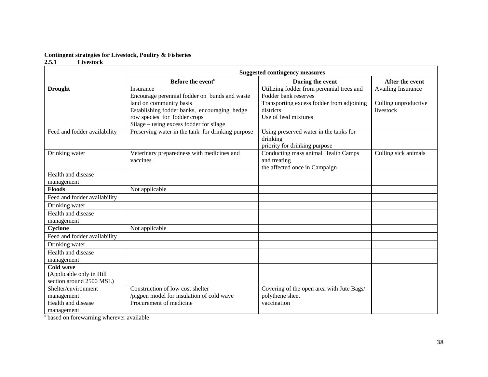#### **Contingent strategies for Livestock, Poultry & Fisheries**

#### **2.5.1 Livestock**

|                                                                          | <b>Suggested contingency measures</b>                                                                                                                                 |                                                                                                                                                     |                                                                |  |
|--------------------------------------------------------------------------|-----------------------------------------------------------------------------------------------------------------------------------------------------------------------|-----------------------------------------------------------------------------------------------------------------------------------------------------|----------------------------------------------------------------|--|
|                                                                          | Before the event <sup>s</sup>                                                                                                                                         | During the event                                                                                                                                    | After the event                                                |  |
| <b>Drought</b>                                                           | Insurance<br>Encourage perennial fodder on bunds and waste<br>land on community basis<br>Establishing fodder banks, encouraging hedge<br>row species for fodder crops | Utilizing fodder from perennial trees and<br>Fodder bank reserves<br>Transporting excess fodder from adjoining<br>districts<br>Use of feed mixtures | <b>Availing Insurance</b><br>Culling unproductive<br>livestock |  |
|                                                                          | Silage - using excess fodder for silage                                                                                                                               |                                                                                                                                                     |                                                                |  |
| Feed and fodder availability                                             | Preserving water in the tank for drinking purpose                                                                                                                     | Using preserved water in the tanks for<br>drinking<br>priority for drinking purpose                                                                 |                                                                |  |
| Drinking water                                                           | Veterinary preparedness with medicines and<br>vaccines                                                                                                                | Conducting mass animal Health Camps<br>and treating<br>the affected once in Campaign                                                                | Culling sick animals                                           |  |
| Health and disease<br>management                                         |                                                                                                                                                                       |                                                                                                                                                     |                                                                |  |
| <b>Floods</b>                                                            | Not applicable                                                                                                                                                        |                                                                                                                                                     |                                                                |  |
| Feed and fodder availability                                             |                                                                                                                                                                       |                                                                                                                                                     |                                                                |  |
| Drinking water                                                           |                                                                                                                                                                       |                                                                                                                                                     |                                                                |  |
| Health and disease<br>management                                         |                                                                                                                                                                       |                                                                                                                                                     |                                                                |  |
| Cyclone                                                                  | Not applicable                                                                                                                                                        |                                                                                                                                                     |                                                                |  |
| Feed and fodder availability                                             |                                                                                                                                                                       |                                                                                                                                                     |                                                                |  |
| Drinking water                                                           |                                                                                                                                                                       |                                                                                                                                                     |                                                                |  |
| Health and disease<br>management                                         |                                                                                                                                                                       |                                                                                                                                                     |                                                                |  |
| <b>Cold wave</b><br>(Applicable only in Hill<br>section around 2500 MSL) |                                                                                                                                                                       |                                                                                                                                                     |                                                                |  |
| Shelter/environment<br>management                                        | Construction of low cost shelter<br>/pigpen model for insulation of cold wave                                                                                         | Covering of the open area with Jute Bags/<br>polythene sheet                                                                                        |                                                                |  |
| Health and disease<br>management                                         | Procurement of medicine                                                                                                                                               | vaccination                                                                                                                                         |                                                                |  |

<sup>s</sup> based on forewarning wherever available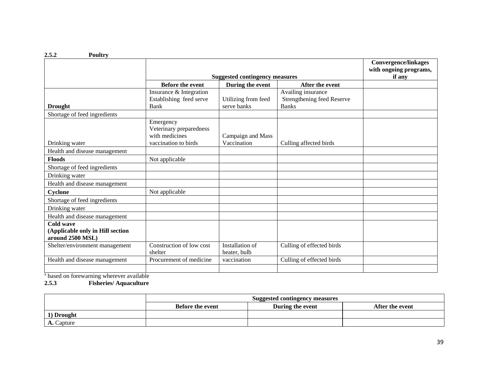|                                                                   |                                                                                |                                    |                                                                  | <b>Convergence/linkages</b><br>with ongoing programs, |
|-------------------------------------------------------------------|--------------------------------------------------------------------------------|------------------------------------|------------------------------------------------------------------|-------------------------------------------------------|
|                                                                   | <b>Suggested contingency measures</b>                                          |                                    |                                                                  | if any                                                |
|                                                                   | <b>Before the event</b>                                                        | During the event                   | After the event                                                  |                                                       |
| <b>Drought</b>                                                    | Insurance & Integration<br>Establishing feed serve<br>Bank                     | Utilizing from feed<br>serve banks | Availing insurance<br>Strengthening feed Reserve<br><b>Banks</b> |                                                       |
| Shortage of feed ingredients                                      |                                                                                |                                    |                                                                  |                                                       |
| Drinking water                                                    | Emergency<br>Veterinary preparedness<br>with medicines<br>vaccination to birds | Campaign and Mass<br>Vaccination   | Culling affected birds                                           |                                                       |
| Health and disease management                                     |                                                                                |                                    |                                                                  |                                                       |
| <b>Floods</b>                                                     | Not applicable                                                                 |                                    |                                                                  |                                                       |
| Shortage of feed ingredients                                      |                                                                                |                                    |                                                                  |                                                       |
| Drinking water                                                    |                                                                                |                                    |                                                                  |                                                       |
| Health and disease management                                     |                                                                                |                                    |                                                                  |                                                       |
| Cyclone                                                           | Not applicable                                                                 |                                    |                                                                  |                                                       |
| Shortage of feed ingredients                                      |                                                                                |                                    |                                                                  |                                                       |
| Drinking water                                                    |                                                                                |                                    |                                                                  |                                                       |
| Health and disease management                                     |                                                                                |                                    |                                                                  |                                                       |
| Cold wave<br>(Applicable only in Hill section<br>around 2500 MSL) |                                                                                |                                    |                                                                  |                                                       |
| Shelter/environment management                                    | Construction of low cost<br>shelter                                            | Installation of<br>heater, bulb    | Culling of effected birds                                        |                                                       |
| Health and disease management                                     | Procurement of medicine                                                        | vaccination                        | Culling of effected birds                                        |                                                       |
|                                                                   |                                                                                |                                    |                                                                  |                                                       |

<sup>a</sup> based on forewarning wherever available

#### **2.5.3 Fisheries/ Aquaculture**

|            | Suggested contingency measures |                  |                 |
|------------|--------------------------------|------------------|-----------------|
|            | <b>Before the event</b>        | During the event | After the event |
| 1) Drought |                                |                  |                 |
| A. Capture |                                |                  |                 |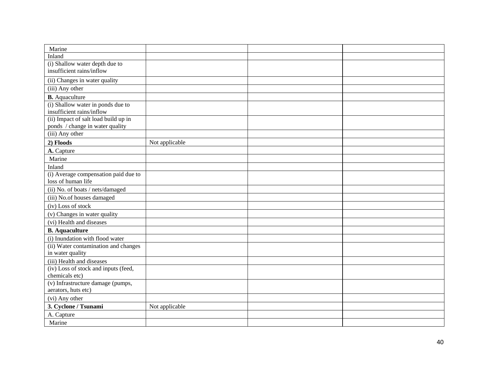| Marine                               |                |  |
|--------------------------------------|----------------|--|
| Inland                               |                |  |
| (i) Shallow water depth due to       |                |  |
| insufficient rains/inflow            |                |  |
| (ii) Changes in water quality        |                |  |
| (iii) Any other                      |                |  |
| <b>B.</b> Aquaculture                |                |  |
| (i) Shallow water in ponds due to    |                |  |
| insufficient rains/inflow            |                |  |
| (ii) Impact of salt load build up in |                |  |
| ponds / change in water quality      |                |  |
| (iii) Any other                      |                |  |
| 2) Floods                            | Not applicable |  |
| A. Capture                           |                |  |
| Marine                               |                |  |
| Inland                               |                |  |
| (i) Average compensation paid due to |                |  |
| loss of human life                   |                |  |
| (ii) No. of boats / nets/damaged     |                |  |
| (iii) No.of houses damaged           |                |  |
| (iv) Loss of stock                   |                |  |
| (v) Changes in water quality         |                |  |
| (vi) Health and diseases             |                |  |
| <b>B.</b> Aquaculture                |                |  |
| (i) Inundation with flood water      |                |  |
| (ii) Water contamination and changes |                |  |
| in water quality                     |                |  |
| (iii) Health and diseases            |                |  |
| (iv) Loss of stock and inputs (feed, |                |  |
| chemicals etc)                       |                |  |
| (v) Infrastructure damage (pumps,    |                |  |
| aerators, huts etc)                  |                |  |
| (vi) Any other                       |                |  |
| 3. Cyclone / Tsunami                 | Not applicable |  |
| A. Capture                           |                |  |
| Marine                               |                |  |